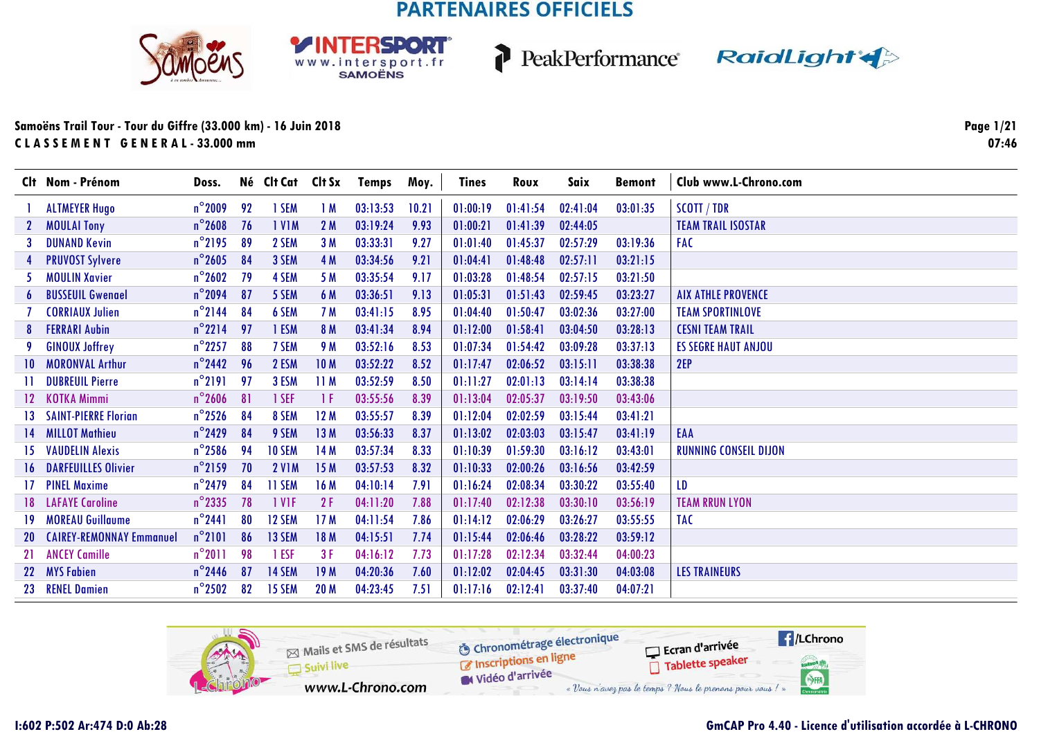





### Samoëns Trail Tour - Tour du Giffre (33.000 km) - 16 Juin 2018 CLASSEMENT GENERAL-33.000 mm

Page 1/21  $07:46$ 

|                 | Clt Nom - Prénom                | Doss.            |    | Né Clt Cat    | Clt Sx          | Temps    | Moy.  | <b>Tines</b> | Roux     | Saix     | <b>Bemont</b> | Club www.L-Chrono.com        |
|-----------------|---------------------------------|------------------|----|---------------|-----------------|----------|-------|--------------|----------|----------|---------------|------------------------------|
|                 | <b>ALTMEYER Hugo</b>            | $n^{\circ}$ 2009 | 92 | 1 SEM         | 1M              | 03:13:53 | 10.21 | 01:00:19     | 01:41:54 | 02:41:04 | 03:01:35      | SCOTT / TDR                  |
|                 | <b>MOULAI Tony</b>              | $n^{\circ}$ 2608 | 76 | <b>IVIM</b>   | 2M              | 03:19:24 | 9.93  | 01:00:21     | 01:41:39 | 02:44:05 |               | <b>TEAM TRAIL ISOSTAR</b>    |
|                 | <b>DUNAND Kevin</b>             | $n^{\circ}$ 2195 | 89 | 2 SEM         | 3M              | 03:33:31 | 9.27  | 01:01:40     | 01:45:37 | 02:57:29 | 03:19:36      | <b>FAC</b>                   |
| 4               | <b>PRUVOST Sylvere</b>          | $n^{\circ}$ 2605 | 84 | 3 SEM         | 4 M             | 03:34:56 | 9.21  | 01:04:41     | 01:48:48 | 02:57:11 | 03:21:15      |                              |
| 5.              | <b>MOULIN Xavier</b>            | $n^{\circ}$ 2602 | 79 | 4 SEM         | 5 M             | 03:35:54 | 9.17  | 01:03:28     | 01:48:54 | 02:57:15 | 03:21:50      |                              |
| 6               | <b>BUSSEUIL Gwenael</b>         | $n^{\circ}$ 2094 | 87 | 5 SEM         | 6 M             | 03:36:51 | 9.13  | 01:05:31     | 01:51:43 | 02:59:45 | 03:23:27      | <b>AIX ATHLE PROVENCE</b>    |
|                 | <b>CORRIAUX Julien</b>          | $n^{\circ}$ 2144 | 84 | 6 SEM         | 7 M             | 03:41:15 | 8.95  | 01:04:40     | 01:50:47 | 03:02:36 | 03:27:00      | <b>TEAM SPORTINLOVE</b>      |
| 8               | <b>FERRARI Aubin</b>            | $n^{\circ}2214$  | 97 | 1 ESM         | 8 M             | 03:41:34 | 8.94  | 01:12:00     | 01:58:41 | 03:04:50 | 03:28:13      | <b>CESNI TEAM TRAIL</b>      |
|                 | <b>GINOUX Joffrey</b>           | $n^{\circ}$ 2257 | 88 | 7 SEM         | 9 M             | 03:52:16 | 8.53  | 01:07:34     | 01:54:42 | 03:09:28 | 03:37:13      | <b>ES SEGRE HAUT ANJOU</b>   |
| 10              | <b>MORONVAL Arthur</b>          | $n^{\circ}$ 2442 | 96 | 2 ESM         | 10 <sub>M</sub> | 03:52:22 | 8.52  | 01:17:47     | 02:06:52 | 03:15:11 | 03:38:38      | 2EP                          |
| $\mathbf{H}$    | <b>DUBREUIL Pierre</b>          | $n^{\circ}2191$  | 97 | 3 ESM         | 11M             | 03:52:59 | 8.50  | 01:11:27     | 02:01:13 | 03:14:14 | 03:38:38      |                              |
| 12 <sup>7</sup> | <b>KOTKA Mimmi</b>              | $n^{\circ}$ 2606 | 81 | 1 SEF         | -1 F            | 03:55:56 | 8.39  | 01:13:04     | 02:05:37 | 03:19:50 | 03:43:06      |                              |
| 13.             | <b>SAINT-PIERRE Florian</b>     | $n^{\circ}$ 2526 | 84 | 8 SEM         | 12M             | 03:55:57 | 8.39  | 01:12:04     | 02:02:59 | 03:15:44 | 03:41:21      |                              |
| 14              | <b>MILLOT Mathieu</b>           | $n^{\circ}$ 2429 | 84 | 9 SEM         | 13M             | 03:56:33 | 8.37  | 01:13:02     | 02:03:03 | 03:15:47 | 03:41:19      | EAA                          |
| 15.             | <b>VAUDELIN Alexis</b>          | $n^{\circ}$ 2586 | 94 | <b>10 SEM</b> | 14M             | 03:57:34 | 8.33  | 01:10:39     | 01:59:30 | 03:16:12 | 03:43:01      | <b>RUNNING CONSEIL DIJON</b> |
|                 | <b>DARFEUILLES Olivier</b>      | $n^{\circ}$ 2159 | 70 | <b>2 V1M</b>  | 15M             | 03:57:53 | 8.32  | 01:10:33     | 02:00:26 | 03:16:56 | 03:42:59      |                              |
|                 | <b>PINEL Maxime</b>             | $n^{\circ}$ 2479 | 84 | 11 SEM        | 16M             | 04:10:14 | 7.91  | 01:16:24     | 02:08:34 | 03:30:22 | 03:55:40      | LD                           |
|                 | <b>LAFAYE Caroline</b>          | $n^{\circ}$ 2335 | 78 | 1 VIF         | 2F              | 04:11:20 | 7.88  | 01:17:40     | 02:12:38 | 03:30:10 | 03:56:19      | <b>TEAM RRUN LYON</b>        |
| 19.             | <b>MOREAU Guillaume</b>         | $n^{\circ}$ 2441 | 80 | 12 SEM        | 17 <sub>M</sub> | 04:11:54 | 7.86  | 01:14:12     | 02:06:29 | 03:26:27 | 03:55:55      | <b>TAC</b>                   |
| 20              | <b>CAIREY-REMONNAY Emmanuel</b> | $n^{\circ}$ 2101 | 86 | 13 SEM        | 18 M            | 04:15:51 | 7.74  | 01:15:44     | 02:06:46 | 03:28:22 | 03:59:12      |                              |
| 21              | <b>ANCEY Camille</b>            | $n^{\circ}2011$  | 98 | 1 ESF         | 3F              | 04:16:12 | 7.73  | 01:17:28     | 02:12:34 | 03:32:44 | 04:00:23      |                              |
|                 | 22 MYS Fabien                   | $n^{\circ}$ 2446 | 87 | 14 SEM        | 19M             | 04:20:36 | 7.60  | 01:12:02     | 02:04:45 | 03:31:30 | 04:03:08      | <b>LES TRAINEURS</b>         |
| 23              | <b>RENEL Damien</b>             | $n^{\circ}$ 2502 | 82 | 15 SEM        | 20 M            | 04:23:45 | 7.51  | 01:17:16     | 02:12:41 | 03:37:40 | 04:07:21      |                              |

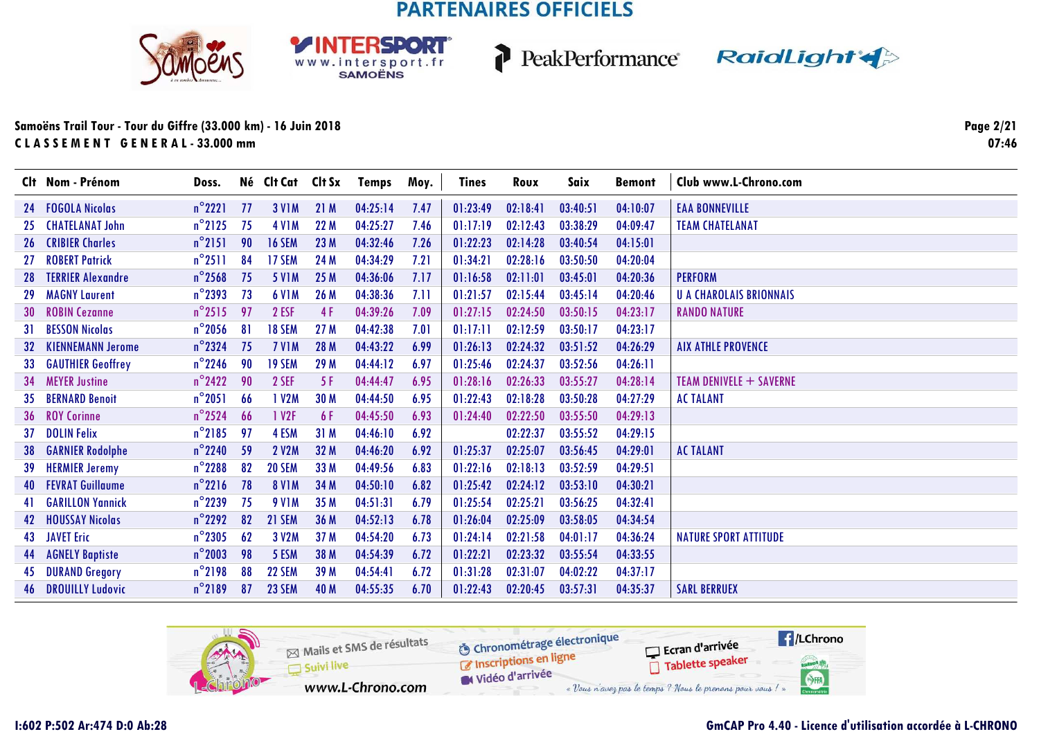





### **Samoëns Trail Tour - Tour du Giffre (33.000 km) - 16 Juin 2018C L A S S E M E N T G E N E R A L - 33.000 mm**

**Page 2/2107:46**

|     | Clt Nom - Prénom           | Doss.            |     | Né Clt Cat Clt Sx |      | <b>Temps</b> | Moy. | <b>Tines</b> | Roux     | Saix     | <b>Bemont</b> | Club www.L-Chrono.com          |
|-----|----------------------------|------------------|-----|-------------------|------|--------------|------|--------------|----------|----------|---------------|--------------------------------|
| 24  | <b>FOGOLA Nicolas</b>      | $n^{\circ}2221$  | -77 | <b>3 V1M</b>      | 21M  | 04:25:14     | 7.47 | 01:23:49     | 02:18:41 | 03:40:51 | 04:10:07      | <b>EAA BONNEVILLE</b>          |
| 25. | <b>CHATELANAT John</b>     | $n^{\circ}$ 2125 | 75  | <b>4 V1M</b>      | 22 M | 04:25:27     | 7.46 | 01:17:19     | 02:12:43 | 03:38:29 | 04:09:47      | <b>TEAM CHATELANAT</b>         |
| 26  | <b>CRIBIER Charles</b>     | $n^{\circ}$ 2151 | 90  | <b>16 SEM</b>     | 23 M | 04:32:46     | 7.26 | 01:22:23     | 02:14:28 | 03:40:54 | 04:15:01      |                                |
| 27  | <b>ROBERT Patrick</b>      | $n^{\circ}2511$  | 84  | 17 SEM            | 24 M | 04:34:29     | 7.21 | 01:34:21     | 02:28:16 | 03:50:50 | 04:20:04      |                                |
| 28  | <b>TERRIER Alexandre</b>   | $n^{\circ}$ 2568 | 75  | <b>5 V1M</b>      | 25 M | 04:36:06     | 7.17 | 01:16:58     | 02:11:01 | 03:45:01 | 04:20:36      | <b>PERFORM</b>                 |
| 29. | <b>MAGNY Laurent</b>       | $n^{\circ}$ 2393 | 73  | <b>6 V1M</b>      | 26 M | 04:38:36     | 7.11 | 01:21:57     | 02:15:44 | 03:45:14 | 04:20:46      | <b>U A CHAROLAIS BRIONNAIS</b> |
| 30  | <b>ROBIN Cezanne</b>       | $n^{\circ}2515$  | 97  | 2 ESF             | 4 F  | 04:39:26     | 7.09 | 01:27:15     | 02:24:50 | 03:50:15 | 04:23:17      | <b>RANDO NATURE</b>            |
| 31. | <b>BESSON Nicolas</b>      | $n^{\circ}$ 2056 | 81  | 18 SEM            | 27 M | 04:42:38     | 7.01 | 01:17:11     | 02:12:59 | 03:50:17 | 04:23:17      |                                |
| 32  | <b>KIENNEMANN Jerome</b>   | $n^{\circ}$ 2324 | 75  | 7 VIM             | 28 M | 04:43:22     | 6.99 | 01:26:13     | 02:24:32 | 03:51:52 | 04:26:29      | <b>AIX ATHLE PROVENCE</b>      |
| 33  | <b>GAUTHIER Geoffrey</b>   | $n^{\circ}$ 2246 | 90  | 19 SEM            | 29 M | 04:44:12     | 6.97 | 01:25:46     | 02:24:37 | 03:52:56 | 04:26:11      |                                |
| 34  | <b>MEYER Justine</b>       | $n^{\circ}$ 2422 | 90  | 2 SEF             | 5F   | 04:44:47     | 6.95 | 01:28:16     | 02:26:33 | 03:55:27 | 04:28:14      | <b>TEAM DENIVELE + SAVERNE</b> |
| 35  | <b>BERNARD Benoit</b>      | $n^{\circ}$ 2051 | 66  | 1 V2M             | 30 M | 04:44:50     | 6.95 | 01:22:43     | 02:18:28 | 03:50:28 | 04:27:29      | <b>AC TALANT</b>               |
| 36  | <b>ROY Corinne</b>         | $n^{\circ}$ 2524 | 66  | 1 V2F             | 6 F  | 04:45:50     | 6.93 | 01:24:40     | 02:22:50 | 03:55:50 | 04:29:13      |                                |
| 37  | <b>DOLIN Felix</b>         | $n^{\circ}$ 2185 | 97  | 4 ESM             | 31M  | 04:46:10     | 6.92 |              | 02:22:37 | 03:55:52 | 04:29:15      |                                |
| 38  | <b>GARNIER Rodolphe</b>    | $n^{\circ}$ 2240 | 59  | <b>2 V2M</b>      | 32 M | 04:46:20     | 6.92 | 01:25:37     | 02:25:07 | 03:56:45 | 04:29:01      | <b>AC TALANT</b>               |
| 39. | <b>HERMIER Jeremy</b>      | $n^{\circ}$ 2288 | 82  | 20 SEM            | 33 M | 04:49:56     | 6.83 | 01:22:16     | 02:18:13 | 03:52:59 | 04:29:51      |                                |
| 40  | <b>FEVRAT Guillaume</b>    | $n^{\circ}$ 2216 | 78  | <b>8 V1M</b>      | 34 M | 04:50:10     | 6.82 | 01:25:42     | 02:24:12 | 03:53:10 | 04:30:21      |                                |
| 41  | <b>GARILLON Yannick</b>    | $n^{\circ}$ 2239 | 75  | <b>9 V1M</b>      | 35 M | 04:51:31     | 6.79 | 01:25:54     | 02:25:21 | 03:56:25 | 04:32:41      |                                |
| 42  | <b>HOUSSAY Nicolas</b>     | $n^{\circ}$ 2292 | 82  | 21 SEM            | 36 M | 04:52:13     | 6.78 | 01:26:04     | 02:25:09 | 03:58:05 | 04:34:54      |                                |
| 43  | <b>JAVET Eric</b>          | $n^{\circ}$ 2305 | 62  | 3 V2M             | 37 M | 04:54:20     | 6.73 | 01:24:14     | 02:21:58 | 04:01:17 | 04:36:24      | <b>NATURE SPORT ATTITUDE</b>   |
| 44  | <b>AGNELY Baptiste</b>     | $n^{\circ}$ 2003 | 98  | 5 ESM             | 38 M | 04:54:39     | 6.72 | 01:22:21     | 02:23:32 | 03:55:54 | 04:33:55      |                                |
| 45  | <b>DURAND Gregory</b>      | $n^{\circ}$ 2198 | 88  | 22 SEM            | 39 M | 04:54:41     | 6.72 | 01:31:28     | 02:31:07 | 04:02:22 | 04:37:17      |                                |
|     | <b>46 DROUILLY Ludovic</b> | $n^{\circ}$ 2189 | 87  | <b>23 SEM</b>     | 40 M | 04:55:35     | 6.70 | 01:22:43     | 02:20:45 | 03:57:31 | 04:35:37      | <b>SARL BERRUEX</b>            |

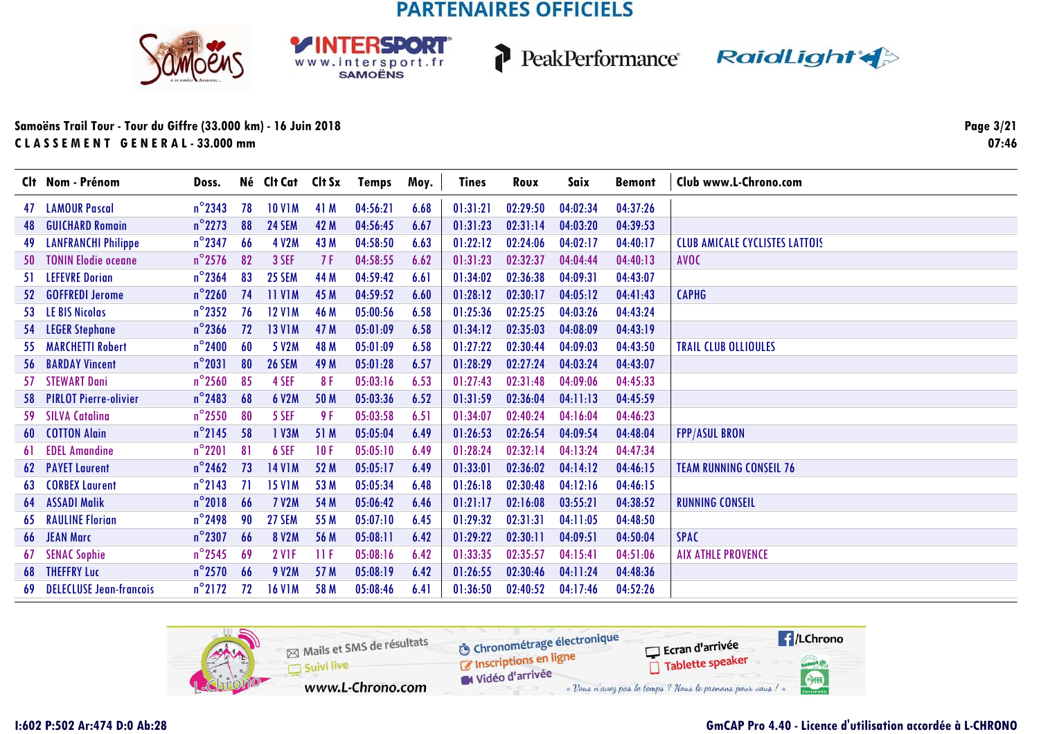





### **Samoëns Trail Tour - Tour du Giffre (33.000 km) - 16 Juin 2018C L A S S E M E N T G E N E R A L - 33.000 mm**

**Page 3/2107:46**

|     | Clt Nom - Prénom               | Doss.            |    | Né Clt Cat    | Clt Sx | Temps    | Moy. | <b>Tines</b> | Roux     | Saix     | <b>Bemont</b> | Club www.L-Chrono.com                 |
|-----|--------------------------------|------------------|----|---------------|--------|----------|------|--------------|----------|----------|---------------|---------------------------------------|
| 47  | <b>LAMOUR Pascal</b>           | $n^{\circ}$ 2343 | 78 | <b>10 V1M</b> | 41 M   | 04:56:21 | 6.68 | 01:31:21     | 02:29:50 | 04:02:34 | 04:37:26      |                                       |
| 48  | <b>GUICHARD Romain</b>         | $n^{\circ}$ 2273 | 88 | <b>24 SEM</b> | 42 M   | 04:56:45 | 6.67 | 01:31:23     | 02:31:14 | 04:03:20 | 04:39:53      |                                       |
| 49  | <b>LANFRANCHI Philippe</b>     | $n^{\circ}$ 2347 | 66 | 4 V2M         | 43 M   | 04:58:50 | 6.63 | 01:22:12     | 02:24:06 | 04:02:17 | 04:40:17      | <b>CLUB AMICALE CYCLISTES LATTOIS</b> |
| 50  | <b>TONIN Elodie oceane</b>     | $n^{\circ}$ 2576 | 82 | 3 SEF         | 7 F    | 04:58:55 | 6.62 | 01:31:23     | 02:32:37 | 04:04:44 | 04:40:13      | <b>AVOC</b>                           |
| 51. | <b>LEFEVRE Dorian</b>          | $n^{\circ}$ 2364 | 83 | <b>25 SEM</b> | 44 M   | 04:59:42 | 6.61 | 01:34:02     | 02:36:38 | 04:09:31 | 04:43:07      |                                       |
| 52  | <b>GOFFREDI Jerome</b>         | $n^{\circ}$ 2260 | 74 | <b>11 V1M</b> | 45 M   | 04:59:52 | 6.60 | 01:28:12     | 02:30:17 | 04:05:12 | 04:41:43      | <b>CAPHG</b>                          |
| 53. | <b>LE BIS Nicolas</b>          | $n^{\circ}$ 2352 | 76 | <b>12 V1M</b> | 46 M   | 05:00:56 | 6.58 | 01:25:36     | 02:25:25 | 04:03:26 | 04:43:24      |                                       |
| 54  | <b>LEGER Stephane</b>          | $n^{\circ}$ 2366 | 72 | <b>13 V1M</b> | 47 M   | 05:01:09 | 6.58 | 01:34:12     | 02:35:03 | 04:08:09 | 04:43:19      |                                       |
| 55. | <b>MARCHETTI Robert</b>        | $n^{\circ}$ 2400 | 60 | 5 V2M         | 48 M   | 05:01:09 | 6.58 | 01:27:22     | 02:30:44 | 04:09:03 | 04:43:50      | <b>TRAIL CLUB OLLIOULES</b>           |
| 56  | <b>BARDAY Vincent</b>          | $n^{\circ}$ 2031 | 80 | <b>26 SEM</b> | 49 M   | 05:01:28 | 6.57 | 01:28:29     | 02:27:24 | 04:03:24 | 04:43:07      |                                       |
| 57  | <b>STEWART Dani</b>            | $n^{\circ}$ 2560 | 85 | 4 SEF         | 8F     | 05:03:16 | 6.53 | 01:27:43     | 02:31:48 | 04:09:06 | 04:45:33      |                                       |
| 58. | <b>PIRLOT Pierre-olivier</b>   | $n^{\circ}$ 2483 | 68 | <b>6 V2M</b>  | 50 M   | 05:03:36 | 6.52 | 01:31:59     | 02:36:04 | 04:11:13 | 04:45:59      |                                       |
| 59  | <b>SILVA Catalina</b>          | $n^{\circ}$ 2550 | 80 | 5 SEF         | 9 F    | 05:03:58 | 6.51 | 01:34:07     | 02:40:24 | 04:16:04 | 04:46:23      |                                       |
| 60  | <b>COTTON Alain</b>            | $n^{\circ}$ 2145 | 58 | 1 V3M         | 51 M   | 05:05:04 | 6.49 | 01:26:53     | 02:26:54 | 04:09:54 | 04:48:04      | <b>FPP/ASUL BRON</b>                  |
| 61  | <b>EDEL Amandine</b>           | $n^{\circ}$ 2201 | 81 | 6 SEF         | 10F    | 05:05:10 | 6.49 | 01:28:24     | 02:32:14 | 04:13:24 | 04:47:34      |                                       |
| 62  | <b>PAYET Laurent</b>           | $n^{\circ}$ 2462 | 73 | <b>14 V1M</b> | 52 M   | 05:05:17 | 6.49 | 01:33:01     | 02:36:02 | 04:14:12 | 04:46:15      | <b>TEAM RUNNING CONSEIL 76</b>        |
| 63  | <b>CORBEX Laurent</b>          | $n^{\circ}$ 2143 | 71 | <b>15 V1M</b> | 53 M   | 05:05:34 | 6.48 | 01:26:18     | 02:30:48 | 04:12:16 | 04:46:15      |                                       |
| 64  | <b>ASSADI Malik</b>            | $n^{\circ}2018$  | 66 | <b>7 V2M</b>  | 54 M   | 05:06:42 | 6.46 | 01:21:17     | 02:16:08 | 03:55:21 | 04:38:52      | <b>RUNNING CONSEIL</b>                |
| 65  | <b>RAULINE Florian</b>         | $n^{\circ}$ 2498 | 90 | 27 SEM        | 55 M   | 05:07:10 | 6.45 | 01:29:32     | 02:31:31 | 04:11:05 | 04:48:50      |                                       |
|     | 66 JEAN Marc                   | $n^{\circ}$ 2307 | 66 | 8 V2M         | 56 M   | 05:08:11 | 6.42 | 01:29:22     | 02:30:11 | 04:09:51 | 04:50:04      | <b>SPAC</b>                           |
| 67  | <b>SENAC Sophie</b>            | $n^{\circ}$ 2545 | 69 | <b>2 V1F</b>  | -11 F  | 05:08:16 | 6.42 | 01:33:35     | 02:35:57 | 04:15:41 | 04:51:06      | <b>AIX ATHLE PROVENCE</b>             |
|     | <b>68 THEFFRY Luc</b>          | $n^{\circ}$ 2570 | 66 | 9 V2M         | 57 M   | 05:08:19 | 6.42 | 01:26:55     | 02:30:46 | 04:11:24 | 04:48:36      |                                       |
| 69  | <b>DELECLUSE Jean-francois</b> | $n^{\circ}$ 2172 | 72 | <b>16 V1M</b> | 58 M   | 05:08:46 | 6.41 | 01:36:50     | 02:40:52 | 04:17:46 | 04:52:26      |                                       |

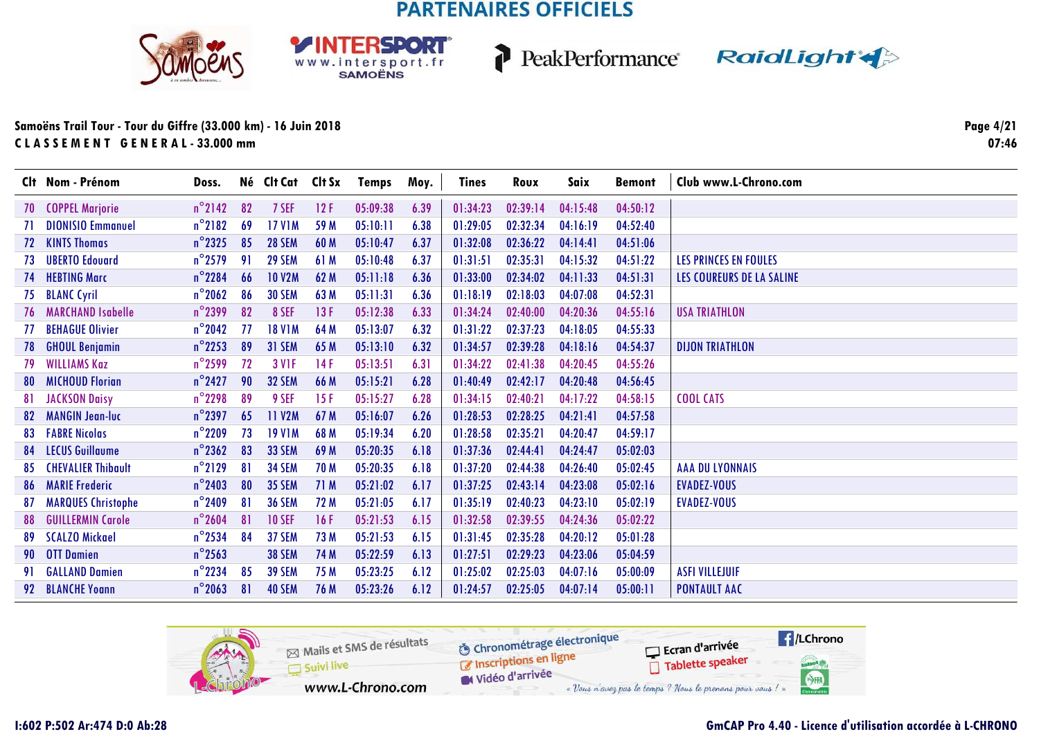**RSDORT** 

WWW.intersport.fr







### **Samoëns Trail Tour - Tour du Giffre (33.000 km) - 16 Juin 2018C L A S S E M E N T G E N E R A L - 33.000 mm**

**Page 4/2107:46**

|     | Clt Nom - Prénom            | Doss.            |    | Né Clt Cat Clt Sx |             | Temps    | Moy. | Tines    | Roux     | Saix     | <b>Bemont</b> | Club www.L-Chrono.com        |
|-----|-----------------------------|------------------|----|-------------------|-------------|----------|------|----------|----------|----------|---------------|------------------------------|
|     | 70 COPPEL Marjorie          | $n^{\circ}$ 2142 | 82 | 7 SEF             | 12F         | 05:09:38 | 6.39 | 01:34:23 | 02:39:14 | 04:15:48 | 04:50:12      |                              |
|     | <b>DIONISIO Emmanuel</b>    | $n^{\circ}$ 2182 | 69 | <b>17 V1M</b>     | 59 M        | 05:10:11 | 6.38 | 01:29:05 | 02:32:34 | 04:16:19 | 04:52:40      |                              |
|     | 72 KINTS Thomas             | $n^{\circ}$ 2325 | 85 | <b>28 SEM</b>     | 60 M        | 05:10:47 | 6.37 | 01:32:08 | 02:36:22 | 04:14:41 | 04:51:06      |                              |
| 73  | <b>UBERTO Edouard</b>       | $n^{\circ}$ 2579 | 91 | <b>29 SEM</b>     | 61 M        | 05:10:48 | 6.37 | 01:31:51 | 02:35:31 | 04:15:32 | 04:51:22      | <b>LES PRINCES EN FOULES</b> |
| 74  | <b>HEBTING Marc</b>         | $n^{\circ}$ 2284 | 66 | <b>10 V2M</b>     | 62 M        | 05:11:18 | 6.36 | 01:33:00 | 02:34:02 | 04:11:33 | 04:51:31      | LES COUREURS DE LA SALINE    |
| 75  | <b>BLANC Cyril</b>          | $n^{\circ}$ 2062 | 86 | <b>30 SEM</b>     | 63 M        | 05:11:31 | 6.36 | 01:18:19 | 02:18:03 | 04:07:08 | 04:52:31      |                              |
|     | <b>76 MARCHAND Isabelle</b> | $n^{\circ}$ 2399 | 82 | 8 SEF             | 13F         | 05:12:38 | 6.33 | 01:34:24 | 02:40:00 | 04:20:36 | 04:55:16      | <b>USA TRIATHLON</b>         |
| 77  | <b>BEHAGUE Olivier</b>      | $n^{\circ}$ 2042 | 77 | <b>18 V1M</b>     | 64 M        | 05:13:07 | 6.32 | 01:31:22 | 02:37:23 | 04:18:05 | 04:55:33      |                              |
| 78  | <b>GHOUL Benjamin</b>       | $n^{\circ}$ 2253 | 89 | 31 SEM            | 65 M        | 05:13:10 | 6.32 | 01:34:57 | 02:39:28 | 04:18:16 | 04:54:37      | <b>DIJON TRIATHLON</b>       |
| 79  | <b>WILLIAMS Kaz</b>         | $n^{\circ}$ 2599 | 72 | <b>3 V1F</b>      | 14F         | 05:13:51 | 6.31 | 01:34:22 | 02:41:38 | 04:20:45 | 04:55:26      |                              |
| 80  | <b>MICHOUD Florian</b>      | $n^{\circ}$ 2427 | 90 | <b>32 SEM</b>     | 66 M        | 05:15:21 | 6.28 | 01:40:49 | 02:42:17 | 04:20:48 | 04:56:45      |                              |
| 81. | <b>JACKSON Daisy</b>        | $n^{\circ}$ 2298 | 89 | 9 SEF             | 15F         | 05:15:27 | 6.28 | 01:34:15 | 02:40:21 | 04:17:22 | 04:58:15      | <b>COOL CATS</b>             |
| 82  | <b>MANGIN Jean-luc</b>      | $n^{\circ}$ 2397 | 65 | <b>11 V2M</b>     | 67 M        | 05:16:07 | 6.26 | 01:28:53 | 02:28:25 | 04:21:41 | 04:57:58      |                              |
|     | <b>83 FABRE Nicolas</b>     | $n^{\circ}$ 2209 | 73 | <b>19 V1M</b>     | 68 M        | 05:19:34 | 6.20 | 01:28:58 | 02:35:21 | 04:20:47 | 04:59:17      |                              |
|     | <b>84 LECUS Guillaume</b>   | $n^{\circ}$ 2362 | 83 | <b>33 SEM</b>     | 69 M        | 05:20:35 | 6.18 | 01:37:36 | 02:44:41 | 04:24:47 | 05:02:03      |                              |
| 85  | <b>CHEVALIER Thibault</b>   | $n^{\circ}$ 2129 | 81 | <b>34 SEM</b>     | <b>70 M</b> | 05:20:35 | 6.18 | 01:37:20 | 02:44:38 | 04:26:40 | 05:02:45      | <b>AAA DU LYONNAIS</b>       |
|     | <b>86 MARIE Frederic</b>    | $n^{\circ}$ 2403 | 80 | <b>35 SEM</b>     | 71 M        | 05:21:02 | 6.17 | 01:37:25 | 02:43:14 | 04:23:08 | 05:02:16      | EVADEZ-VOUS                  |
| 87  | <b>MARQUES Christophe</b>   | $n^{\circ}$ 2409 | 81 | <b>36 SEM</b>     | 72 M        | 05:21:05 | 6.17 | 01:35:19 | 02:40:23 | 04:23:10 | 05:02:19      | <b>EVADEZ-VOUS</b>           |
| 88  | <b>GUILLERMIN Carole</b>    | $n^{\circ}$ 2604 | 81 | <b>10 SEF</b>     | 16F         | 05:21:53 | 6.15 | 01:32:58 | 02:39:55 | 04:24:36 | 05:02:22      |                              |
|     | 89 SCALZO Mickael           | $n^{\circ}$ 2534 | 84 | 37 SEM            | 73 M        | 05:21:53 | 6.15 | 01:31:45 | 02:35:28 | 04:20:12 | 05:01:28      |                              |
|     | 90 OTT Damien               | $n^{\circ}$ 2563 |    | <b>38 SEM</b>     | 74 M        | 05:22:59 | 6.13 | 01:27:51 | 02:29:23 | 04:23:06 | 05:04:59      |                              |
| 91. | <b>GALLAND Damien</b>       | $n^{\circ}$ 2234 | 85 | <b>39 SEM</b>     | 75 M        | 05:23:25 | 6.12 | 01:25:02 | 02:25:03 | 04:07:16 | 05:00:09      | <b>ASFI VILLEJUIF</b>        |
|     | 92 BLANCHE Yoann            | $n^{\circ}$ 2063 | 81 | <b>40 SEM</b>     | 76 M        | 05:23:26 | 6.12 | 01:24:57 | 02:25:05 | 04:07:14 | 05:00:11      | <b>PONTAULT AAC</b>          |

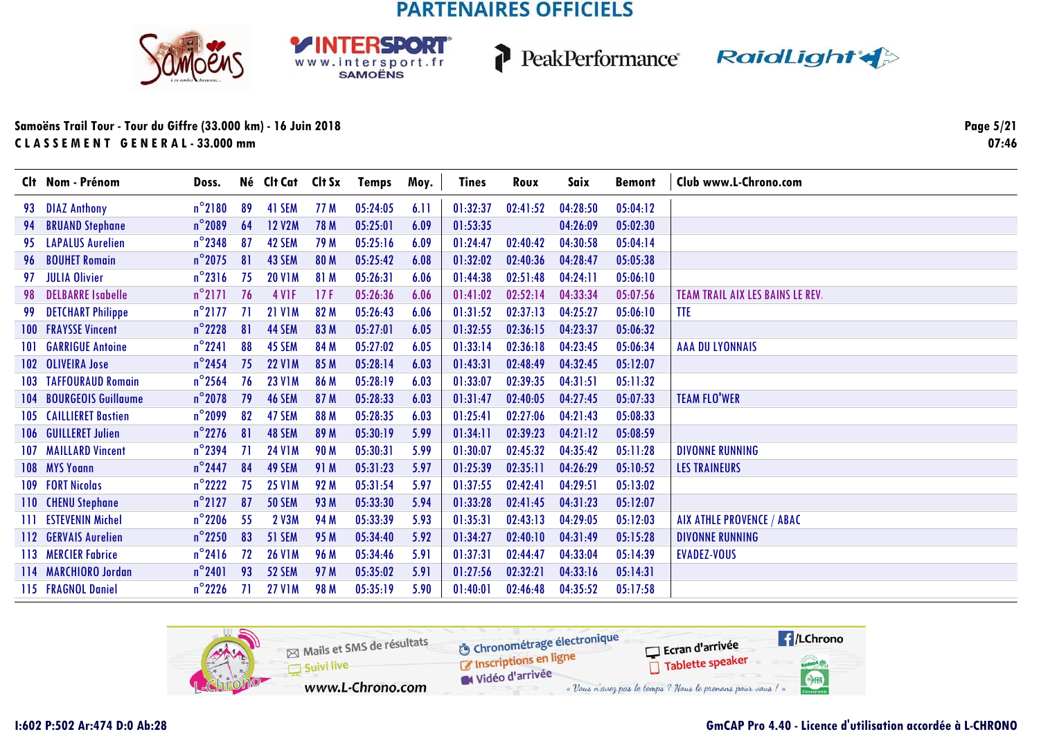**RSDORT** 

WWW.intersport.fr







### **Samoëns Trail Tour - Tour du Giffre (33.000 km) - 16 Juin 2018C L A S S E M E N T G E N E R A L - 33.000 mm**

**Page 5/2107:46**

|       | Clt Nom - Prénom              | Doss.            |    | Né Clt Cat Clt Sx |             | Temps    | Moy. | Tines    | Roux     | Saix     | <b>Bemont</b> | Club www.L-Chrono.com                   |
|-------|-------------------------------|------------------|----|-------------------|-------------|----------|------|----------|----------|----------|---------------|-----------------------------------------|
| 93.   | <b>DIAZ Anthony</b>           | $n^{\circ}$ 2180 | 89 | 41 SEM            | 77 M        | 05:24:05 | 6.11 | 01:32:37 | 02:41:52 | 04:28:50 | 05:04:12      |                                         |
| 94    | <b>BRUAND Stephane</b>        | $n^{\circ}$ 2089 | 64 | <b>12 V2M</b>     | <b>78 M</b> | 05:25:01 | 6.09 | 01:53:35 |          | 04:26:09 | 05:02:30      |                                         |
| 95.   | <b>LAPALUS Aurelien</b>       | $n^{\circ}$ 2348 | 87 | 42 SEM            | 79 M        | 05:25:16 | 6.09 | 01:24:47 | 02:40:42 | 04:30:58 | 05:04:14      |                                         |
| 96    | <b>BOUHET Romain</b>          | $n^{\circ}$ 2075 | 81 | 43 SEM            | 80 M        | 05:25:42 | 6.08 | 01:32:02 | 02:40:36 | 04:28:47 | 05:05:38      |                                         |
| 97    | <b>JULIA Olivier</b>          | $n^{\circ}$ 2316 | 75 | <b>20 V1M</b>     | 81 M        | 05:26:31 | 6.06 | 01:44:38 | 02:51:48 | 04:24:11 | 05:06:10      |                                         |
| 98.   | <b>DELBARRE Isabelle</b>      | $n^{\circ}$ 2171 | 76 | <b>4 V1F</b>      | 17F         | 05:26:36 | 6.06 | 01:41:02 | 02:52:14 | 04:33:34 | 05:07:56      | <b>TEAM TRAIL AIX LES BAINS LE REV.</b> |
| 99    | <b>DETCHART Philippe</b>      | $n^{\circ}$ 2177 | 71 | <b>21 V1M</b>     | 82 M        | 05:26:43 | 6.06 | 01:31:52 | 02:37:13 | 04:25:27 | 05:06:10      | <b>TTE</b>                              |
|       | <b>100 FRAYSSE Vincent</b>    | $n^{\circ}$ 2228 | 81 | 44 SEM            | 83 M        | 05:27:01 | 6.05 | 01:32:55 | 02:36:15 | 04:23:37 | 05:06:32      |                                         |
| 101   | <b>GARRIGUE Antoine</b>       | $n^{\circ}$ 2241 | 88 | 45 SEM            | 84 M        | 05:27:02 | 6.05 | 01:33:14 | 02:36:18 | 04:23:45 | 05:06:34      | <b>AAA DU LYONNAIS</b>                  |
|       | 102 OLIVEIRA Jose             | $n^{\circ}$ 2454 | 75 | <b>22 V1M</b>     | 85 M        | 05:28:14 | 6.03 | 01:43:31 | 02:48:49 | 04:32:45 | 05:12:07      |                                         |
|       | <b>103 TAFFOURAUD Romain</b>  | $n^{\circ}$ 2564 | 76 | <b>23 V1M</b>     | 86 M        | 05:28:19 | 6.03 | 01:33:07 | 02:39:35 | 04:31:51 | 05:11:32      |                                         |
| 104   | <b>BOURGEOIS Guillaume</b>    | $n^{\circ}$ 2078 | 79 | <b>46 SEM</b>     | 87 M        | 05:28:33 | 6.03 | 01:31:47 | 02:40:05 | 04:27:45 | 05:07:33      | <b>TEAM FLO'WER</b>                     |
|       | <b>105 CAILLIERET Bastien</b> | $n^{\circ}$ 2099 | 82 | 47 SEM            | 88 M        | 05:28:35 | 6.03 | 01:25:41 | 02:27:06 | 04:21:43 | 05:08:33      |                                         |
|       | 106 GUILLERET Julien          | $n^{\circ}$ 2276 | 81 | 48 SEM            | 89 M        | 05:30:19 | 5.99 | 01:34:11 | 02:39:23 | 04:21:12 | 05:08:59      |                                         |
|       | <b>107 MAILLARD Vincent</b>   | $n^{\circ}$ 2394 | 71 | <b>24 V1M</b>     | <b>90 M</b> | 05:30:31 | 5.99 | 01:30:07 | 02:45:32 | 04:35:42 | 05:11:28      | <b>DIVONNE RUNNING</b>                  |
|       | 108 MYS Younn                 | $n^{\circ}$ 2447 | 84 | 49 SEM            | 91 M        | 05:31:23 | 5.97 | 01:25:39 | 02:35:11 | 04:26:29 | 05:10:52      | <b>LES TRAINEURS</b>                    |
|       | 109 FORT Nicolas              | $n^{\circ}$ 2222 | 75 | <b>25 V1M</b>     | 92 M        | 05:31:54 | 5.97 | 01:37:55 | 02:42:41 | 04:29:51 | 05:13:02      |                                         |
|       | 110 CHENU Stephane            | $n^{\circ}2127$  | 87 | <b>50 SEM</b>     | 93 M        | 05:33:30 | 5.94 | 01:33:28 | 02:41:45 | 04:31:23 | 05:12:07      |                                         |
| -111- | <b>ESTEVENIN Michel</b>       | $n^{\circ}$ 2206 | 55 | 2 V3M             | 94 M        | 05:33:39 | 5.93 | 01:35:31 | 02:43:13 | 04:29:05 | 05:12:03      | AIX ATHLE PROVENCE / ABAC               |
|       | 112 GERVAIS Aurelien          | $n^{\circ}$ 2250 | 83 | 51 SEM            | 95 M        | 05:34:40 | 5.92 | 01:34:27 | 02:40:10 | 04:31:49 | 05:15:28      | <b>DIVONNE RUNNING</b>                  |
|       | 113 MERCIER Fabrice           | $n^{\circ}$ 2416 | 72 | <b>26 V1M</b>     | <b>96 M</b> | 05:34:46 | 5.91 | 01:37:31 | 02:44:47 | 04:33:04 | 05:14:39      | <b>EVADEZ-VOUS</b>                      |
|       | 114 MARCHIORO Jordan          | $n^{\circ}$ 2401 | 93 | 52 SEM            | 97 M        | 05:35:02 | 5.91 | 01:27:56 | 02:32:21 | 04:33:16 | 05:14:31      |                                         |
|       | 115 FRAGNOL Daniel            | $n^{\circ}$ 2226 | 71 | <b>27 V1M</b>     | <b>98 M</b> | 05:35:19 | 5.90 | 01:40:01 | 02:46:48 | 04:35:52 | 05:17:58      |                                         |

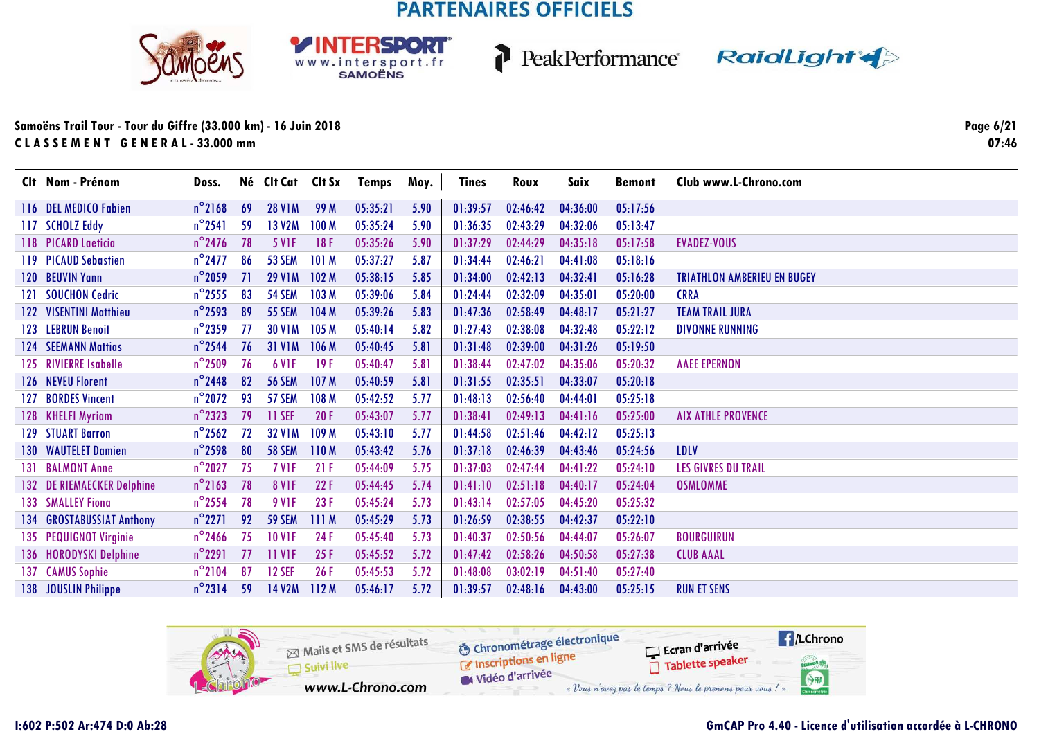





### Samoëns Trail Tour - Tour du Giffre (33.000 km) - 16 Juin 2018 CLASSEMENT GENERAL-33.000 mm

Page 6/21  $07:46$ 

| Clt Nom - Prénom           | Doss.            |    | Né Clt Cat Clt Sx |                  | Temps    | Moy. | <b>Tines</b> | Roux     | Saix     | <b>Bemont</b> | Club www.L-Chrono.com              |
|----------------------------|------------------|----|-------------------|------------------|----------|------|--------------|----------|----------|---------------|------------------------------------|
| 116 DEL MEDICO Fabien      | $n^{\circ}$ 2168 | 69 | <b>28 V1M</b>     | 99 M             | 05:35:21 | 5.90 | 01:39:57     | 02:46:42 | 04:36:00 | 05:17:56      |                                    |
| 117 SCHOLZ Eddy            | $n^{\circ}$ 2541 | 59 | <b>13 V2M</b>     | 100 <sub>M</sub> | 05:35:24 | 5.90 | 01:36:35     | 02:43:29 | 04:32:06 | 05:13:47      |                                    |
| 118 PICARD Laeticia        | $n^{\circ}$ 2476 | 78 | <b>5 VIF</b>      | 18F              | 05:35:26 | 5.90 | 01:37:29     | 02:44:29 | 04:35:18 | 05:17:58      | <b>EVADEZ-VOUS</b>                 |
| 119 PICAUD Sebastien       | $n^{\circ}$ 2477 | 86 | <b>53 SEM</b>     | 101M             | 05:37:27 | 5.87 | 01:34:44     | 02:46:21 | 04:41:08 | 05:18:16      |                                    |
| 120 BEUVIN Yann            | $n^{\circ}$ 2059 | 71 | <b>29 V1M</b>     | 102M             | 05:38:15 | 5.85 | 01:34:00     | 02:42:13 | 04:32:41 | 05:16:28      | <b>TRIATHLON AMBERIEU EN BUGEY</b> |
| 121 SOUCHON Cedric         | $n^{\circ}$ 2555 | 83 | <b>54 SEM</b>     | 103 <sub>M</sub> | 05:39:06 | 5.84 | 01:24:44     | 02:32:09 | 04:35:01 | 05:20:00      | <b>CRRA</b>                        |
| 122 VISENTINI Matthieu     | $n^{\circ}$ 2593 | 89 | <b>55 SEM</b>     | 104M             | 05:39:26 | 5.83 | 01:47:36     | 02:58:49 | 04:48:17 | 05:21:27      | <b>TEAM TRAIL JURA</b>             |
| 123 LEBRUN Benoit          | $n^{\circ}$ 2359 | 77 | <b>30 V1M</b>     | 105 M            | 05:40:14 | 5.82 | 01:27:43     | 02:38:08 | 04:32:48 | 05:22:12      | <b>DIVONNE RUNNING</b>             |
| <b>124 SEEMANN Mattias</b> | $n^{\circ}$ 2544 | 76 | <b>31 V1M</b>     | 106 M            | 05:40:45 | 5.81 | 01:31:48     | 02:39:00 | 04:31:26 | 05:19:50      |                                    |
| 125 RIVIERRE Isabelle      | $n^{\circ}$ 2509 | 76 | <b>6 V1F</b>      | 19F              | 05:40:47 | 5.81 | 01:38:44     | 02:47:02 | 04:35:06 | 05:20:32      | <b>AAEE EPERNON</b>                |
| 126 NEVEU Florent          | $n^{\circ}$ 2448 | 82 | <b>56 SEM</b>     | 107 <sub>M</sub> | 05:40:59 | 5.81 | 01:31:55     | 02:35:51 | 04:33:07 | 05:20:18      |                                    |
| 127 BORDES Vincent         | $n^{\circ}$ 2072 | 93 | 57 SEM            | 108 M            | 05:42:52 | 5.77 | 01:48:13     | 02:56:40 | 04:44:01 | 05:25:18      |                                    |
| 128 KHELFI Myriam          | $n^{\circ}$ 2323 | 79 | 11 SEF            | 20F              | 05:43:07 | 5.77 | 01:38:41     | 02:49:13 | 04:41:16 | 05:25:00      | <b>AIX ATHLE PROVENCE</b>          |
| 129 STUART Barron          | $n^{\circ}$ 2562 | 72 | <b>32 V1M</b>     | 109 M            | 05:43:10 | 5.77 | 01:44:58     | 02:51:46 | 04:42:12 | 05:25:13      |                                    |
| <b>130 WAUTELET Damien</b> | $n^{\circ}$ 2598 | 80 | <b>58 SEM</b>     | 110 <sub>M</sub> | 05:43:42 | 5.76 | 01:37:18     | 02:46:39 | 04:43:46 | 05:24:56      | LDLV                               |
| 131 BALMONT Anne           | $n^{\circ}$ 2027 | 75 | 7 V <sub>IF</sub> | 21F              | 05:44:09 | 5.75 | 01:37:03     | 02:47:44 | 04:41:22 | 05:24:10      | <b>LES GIVRES DU TRAIL</b>         |
| 132 DE RIEMAECKER Delphine | $n^{\circ}$ 2163 | 78 | <b>8 V1F</b>      | 22F              | 05:44:45 | 5.74 | 01:41:10     | 02:51:18 | 04:40:17 | 05:24:04      | <b>OSMLOMME</b>                    |
| <b>133 SMALLEY Fiona</b>   | $n^{\circ}$ 2554 | 78 | <b>9 V1F</b>      | 23F              | 05:45:24 | 5.73 | 01:43:14     | 02:57:05 | 04:45:20 | 05:25:32      |                                    |
| 134 GROSTABUSSIAT Anthony  | $n^{\circ}2271$  | 92 | <b>59 SEM</b>     | 111M             | 05:45:29 | 5.73 | 01:26:59     | 02:38:55 | 04:42:37 | 05:22:10      |                                    |
| 135 PEQUIGNOT Virginie     | $n^{\circ}$ 2466 | 75 | <b>10 V1F</b>     | 24 F             | 05:45:40 | 5.73 | 01:40:37     | 02:50:56 | 04:44:07 | 05:26:07      | <b>BOURGUIRUN</b>                  |
| 136 HORODYSKI Delphine     | $n^{\circ}$ 2291 | 77 | <b>11 VIF</b>     | 25F              | 05:45:52 | 5.72 | 01:47:42     | 02:58:26 | 04:50:58 | 05:27:38      | <b>CLUB AAAL</b>                   |
| 137 CAMUS Sophie           | $n^{\circ}$ 2104 | 87 | <b>12 SEF</b>     | 26F              | 05:45:53 | 5.72 | 01:48:08     | 03:02:19 | 04:51:40 | 05:27:40      |                                    |
| 138 JOUSLIN Philippe       | $n^{\circ}$ 2314 | 59 | 14 V2M            | 112M             | 05:46:17 | 5.72 | 01:39:57     | 02:48:16 | 04:43:00 | 05:25:15      | <b>RUN ET SENS</b>                 |

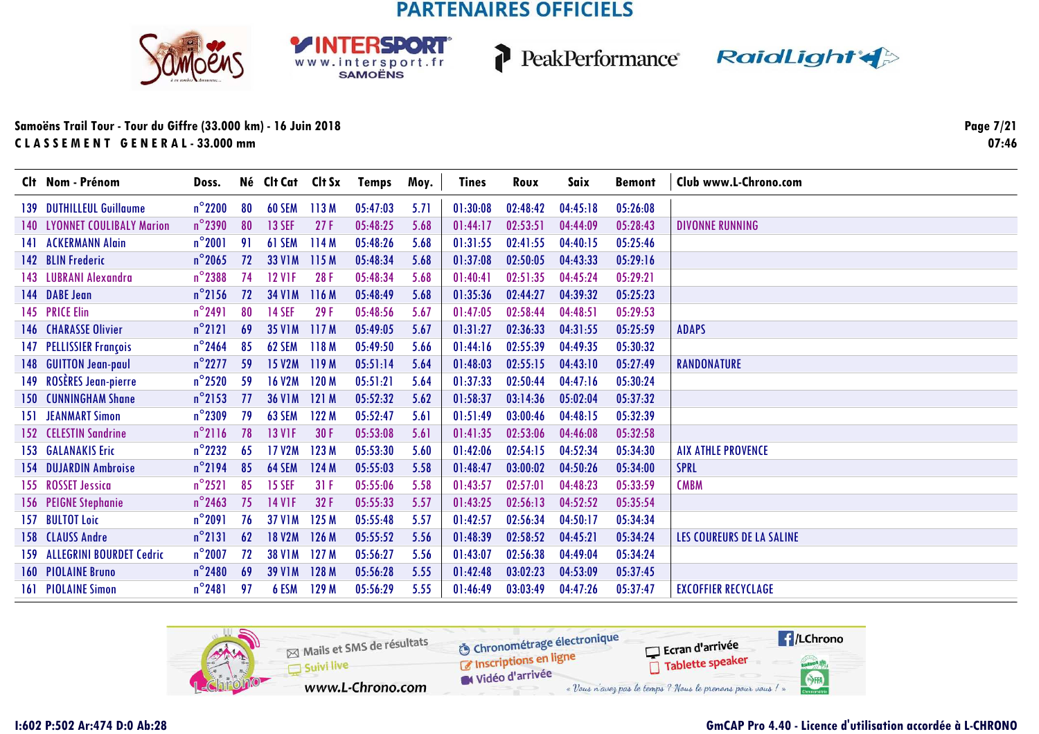





### **Samoëns Trail Tour - Tour du Giffre (33.000 km) - 16 Juin 2018C L A S S E M E N T G E N E R A L - 33.000 mm**

**Page 7/2107:46**

|     | Clt Nom - Prénom                    | Doss.            |    | Né Clt Cat Clt Sx |       | Temps    | Moy. | Tines    | Roux     | Saix     | <b>Bemont</b> | Club www.L-Chrono.com      |
|-----|-------------------------------------|------------------|----|-------------------|-------|----------|------|----------|----------|----------|---------------|----------------------------|
|     | 139 DUTHILLEUL Guillaume            | $n^{\circ}$ 2200 | 80 | 60 SEM            | 113M  | 05:47:03 | 5.71 | 01:30:08 | 02:48:42 | 04:45:18 | 05:26:08      |                            |
|     | <b>140 LYONNET COULIBALY Marion</b> | $n^{\circ}$ 2390 | 80 | <b>13 SEF</b>     | 27F   | 05:48:25 | 5.68 | 01:44:17 | 02:53:51 | 04:44:09 | 05:28:43      | <b>DIVONNE RUNNING</b>     |
| 141 | <b>ACKERMANN Alain</b>              | $n^{\circ}2001$  | 91 | 61 SEM            | 114M  | 05:48:26 | 5.68 | 01:31:55 | 02:41:55 | 04:40:15 | 05:25:46      |                            |
|     | 142 BLIN Frederic                   | $n^{\circ}$ 2065 | 72 | <b>33 V1M</b>     | 115M  | 05:48:34 | 5.68 | 01:37:08 | 02:50:05 | 04:43:33 | 05:29:16      |                            |
|     | 143 LUBRANI Alexandra               | $n^{\circ}$ 2388 | 74 | <b>12 VIF</b>     | 28F   | 05:48:34 | 5.68 | 01:40:41 | 02:51:35 | 04:45:24 | 05:29:21      |                            |
|     | 144 DABE Jean                       | $n^{\circ}$ 2156 | 72 | <b>34 V1M</b>     | 116 M | 05:48:49 | 5.68 | 01:35:36 | 02:44:27 | 04:39:32 | 05:25:23      |                            |
|     | 145 PRICE Elin                      | $n^{\circ}$ 2491 | 80 | <b>14 SEF</b>     | 29F   | 05:48:56 | 5.67 | 01:47:05 | 02:58:44 | 04:48:51 | 05:29:53      |                            |
|     | <b>146 CHARASSE Olivier</b>         | $n^{\circ}$ 2121 | 69 | <b>35 V1M</b>     | 117M  | 05:49:05 | 5.67 | 01:31:27 | 02:36:33 | 04:31:55 | 05:25:59      | <b>ADAPS</b>               |
| 147 | <b>PELLISSIER François</b>          | $n^{\circ}$ 2464 | 85 | 62 SEM            | 118 M | 05:49:50 | 5.66 | 01:44:16 | 02:55:39 | 04:49:35 | 05:30:32      |                            |
|     | 148 GUITTON Jean-paul               | $n^{\circ}$ 2277 | 59 | <b>15 V2M</b>     | 119M  | 05:51:14 | 5.64 | 01:48:03 | 02:55:15 | 04:43:10 | 05:27:49      | <b>RANDONATURE</b>         |
|     | 149 ROSÈRES Jean-pierre             | $n^{\circ}$ 2520 | 59 | <b>16 V2M</b>     | 120 M | 05:51:21 | 5.64 | 01:37:33 | 02:50:44 | 04:47:16 | 05:30:24      |                            |
|     | <b>150 CUNNINGHAM Shane</b>         | $n^{\circ}$ 2153 | 77 | <b>36 V1M</b>     | 121M  | 05:52:32 | 5.62 | 01:58:37 | 03:14:36 | 05:02:04 | 05:37:32      |                            |
| 151 | <b>JEANMART Simon</b>               | $n^{\circ}$ 2309 | 79 | 63 SEM            | 122 M | 05:52:47 | 5.61 | 01:51:49 | 03:00:46 | 04:48:15 | 05:32:39      |                            |
|     | 152 CELESTIN Sandrine               | $n^{\circ}$ 2116 | 78 | <b>13 V1F</b>     | 30 F  | 05:53:08 | 5.61 | 01:41:35 | 02:53:06 | 04:46:08 | 05:32:58      |                            |
|     | <b>153 GALANAKIS Eric</b>           | $n^{\circ}$ 2232 | 65 | 17 V2M            | 123 M | 05:53:30 | 5.60 | 01:42:06 | 02:54:15 | 04:52:34 | 05:34:30      | <b>AIX ATHLE PROVENCE</b>  |
|     | <b>154 DUJARDIN Ambroise</b>        | $n^{\circ}$ 2194 | 85 | 64 SEM            | 124 M | 05:55:03 | 5.58 | 01:48:47 | 03:00:02 | 04:50:26 | 05:34:00      | <b>SPRL</b>                |
|     | 155 ROSSET Jessica                  | $n^{\circ}$ 2521 | 85 | <b>15 SEF</b>     | 31F   | 05:55:06 | 5.58 | 01:43:57 | 02:57:01 | 04:48:23 | 05:33:59      | <b>CMBM</b>                |
|     | 156 PEIGNE Stephanie                | $n^{\circ}$ 2463 | 75 | <b>14 V1F</b>     | 32F   | 05:55:33 | 5.57 | 01:43:25 | 02:56:13 | 04:52:52 | 05:35:54      |                            |
|     | 157 BULTOT Loic                     | $n^{\circ}2091$  | 76 | <b>37 V1M</b>     | 125 M | 05:55:48 | 5.57 | 01:42:57 | 02:56:34 | 04:50:17 | 05:34:34      |                            |
|     | 158 CLAUSS Andre                    | $n^{\circ}$ 2131 | 62 | <b>18 V2M</b>     | 126 M | 05:55:52 | 5.56 | 01:48:39 | 02:58:52 | 04:45:21 | 05:34:24      | LES COUREURS DE LA SALINE  |
|     | 159 ALLEGRINI BOURDET Cedric        | $n^{\circ}$ 2007 | 72 | <b>38 V1M</b>     | 127M  | 05:56:27 | 5.56 | 01:43:07 | 02:56:38 | 04:49:04 | 05:34:24      |                            |
|     | <b>160 PIOLAINE Bruno</b>           | $n^{\circ}$ 2480 | 69 | <b>39 V1M</b>     | 128 M | 05:56:28 | 5.55 | 01:42:48 | 03:02:23 | 04:53:09 | 05:37:45      |                            |
|     | <b>161 PIOLAINE Simon</b>           | $n^{\circ}$ 2481 | 97 | 6 ESM             | 129 M | 05:56:29 | 5.55 | 01:46:49 | 03:03:49 | 04:47:26 | 05:37:47      | <b>EXCOFFIER RECYCLAGE</b> |

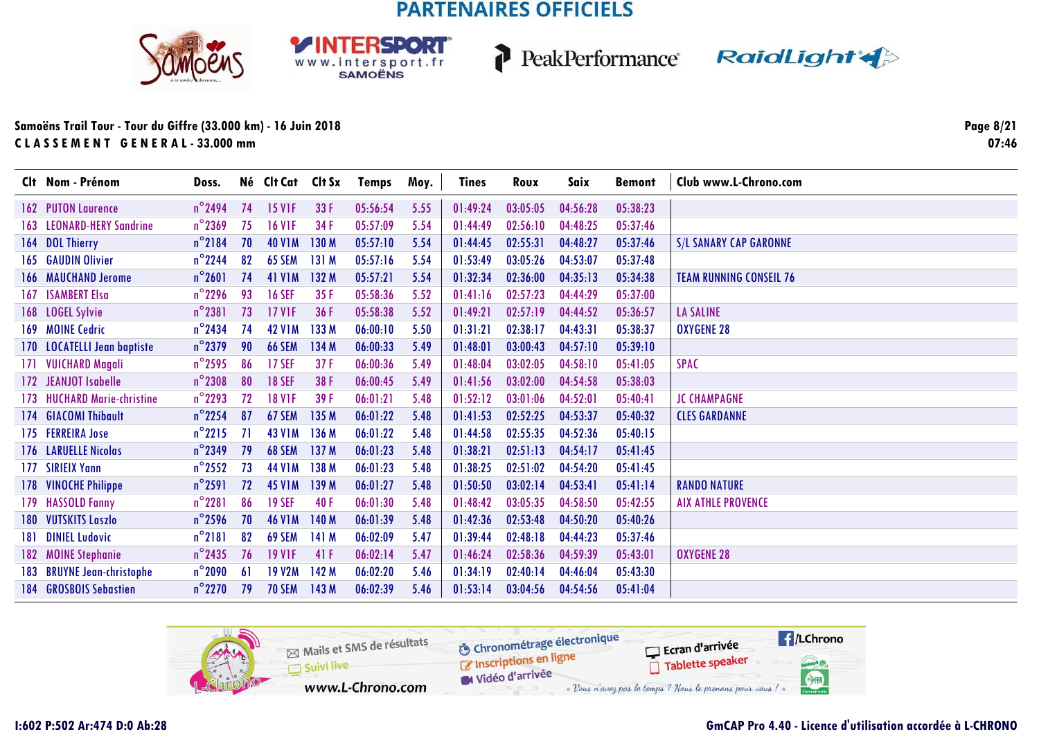





### **Samoëns Trail Tour - Tour du Giffre (33.000 km) - 16 Juin 2018C L A S S E M E N T G E N E R A L - 33.000 mm**

**Page 8/2107:46**

|      | Clt Nom - Prénom                 | Doss.            |     | Né Clt Cat    | Clt Sx | Temps    | Moy. | <b>Tines</b> | Roux     | Saix     | <b>Bemont</b> | Club www.L-Chrono.com          |
|------|----------------------------------|------------------|-----|---------------|--------|----------|------|--------------|----------|----------|---------------|--------------------------------|
|      | 162 PUTON Laurence               | $n^{\circ}$ 2494 | 74  | <b>15 VIF</b> | 33 F   | 05:56:54 | 5.55 | 01:49:24     | 03:05:05 | 04:56:28 | 05:38:23      |                                |
|      | <b>163 LEONARD-HERY Sandrine</b> | $n^{\circ}$ 2369 | 75  | <b>16 VIF</b> | 34 F   | 05:57:09 | 5.54 | 01:44:49     | 02:56:10 | 04:48:25 | 05:37:46      |                                |
|      | 164 DOL Thierry                  | $n^{\circ}$ 2184 | 70  | <b>40 V1M</b> | 130 M  | 05:57:10 | 5.54 | 01:44:45     | 02:55:31 | 04:48:27 | 05:37:46      | <b>S/L SANARY CAP GARONNE</b>  |
|      | 165 GAUDIN Olivier               | $n^{\circ}$ 2244 | 82  | 65 SEM        | 131 M  | 05:57:16 | 5.54 | 01:53:49     | 03:05:26 | 04:53:07 | 05:37:48      |                                |
|      | <b>166 MAUCHAND Jerome</b>       | $n^{\circ}$ 2601 | 74  | <b>41 V1M</b> | 132 M  | 05:57:21 | 5.54 | 01:32:34     | 02:36:00 | 04:35:13 | 05:34:38      | <b>TEAM RUNNING CONSEIL 76</b> |
| 167  | <b>ISAMBERT Elsa</b>             | $n^{\circ}$ 2296 | 93  | <b>16 SEF</b> | 35F    | 05:58:36 | 5.52 | 01:41:16     | 02:57:23 | 04:44:29 | 05:37:00      |                                |
|      | 168 LOGEL Sylvie                 | $n^{\circ}$ 2381 | 73  | <b>17 V1F</b> | 36 F   | 05:58:38 | 5.52 | 01:49:21     | 02:57:19 | 04:44:52 | 05:36:57      | <b>LA SALINE</b>               |
|      | 169 MOINE Cedric                 | $n^{\circ}$ 2434 | 74  | <b>42 V1M</b> | 133 M  | 06:00:10 | 5.50 | 01:31:21     | 02:38:17 | 04:43:31 | 05:38:37      | <b>OXYGENE 28</b>              |
|      | 170 LOCATELLI Jean baptiste      | $n^{\circ}$ 2379 | 90  | <b>66 SEM</b> | 134 M  | 06:00:33 | 5.49 | 01:48:01     | 03:00:43 | 04:57:10 | 05:39:10      |                                |
|      | 171 VUICHARD Magali              | $n^{\circ}$ 2595 | 86  | <b>17 SEF</b> | 37F    | 06:00:36 | 5.49 | 01:48:04     | 03:02:05 | 04:58:10 | 05:41:05      | <b>SPAC</b>                    |
|      | 172 JEANJOT Isabelle             | $n^{\circ}$ 2308 | 80  | <b>18 SEF</b> | 38 F   | 06:00:45 | 5.49 | 01:41:56     | 03:02:00 | 04:54:58 | 05:38:03      |                                |
| 173  | <b>HUCHARD Marie-christine</b>   | $n^{\circ}$ 2293 | 72  | <b>18 V1F</b> | 39 F   | 06:01:21 | 5.48 | 01:52:12     | 03:01:06 | 04:52:01 | 05:40:41      | <b>JC CHAMPAGNE</b>            |
|      | 174 GIACOMI Thibault             | $n^{\circ}$ 2254 | 87  | 67 SEM        | 135 M  | 06:01:22 | 5.48 | 01:41:53     | 02:52:25 | 04:53:37 | 05:40:32      | <b>CLES GARDANNE</b>           |
|      | 175 FERREIRA Jose                | $n^{\circ}2215$  | 71  | <b>43 V1M</b> | 136 M  | 06:01:22 | 5.48 | 01:44:58     | 02:55:35 | 04:52:36 | 05:40:15      |                                |
|      | 176 LARUELLE Nicolas             | $n^{\circ}$ 2349 | 79  | <b>68 SEM</b> | 137 M  | 06:01:23 | 5.48 | 01:38:21     | 02:51:13 | 04:54:17 | 05:41:45      |                                |
| 177  | <b>SIRIEIX Yann</b>              | $n^{\circ}$ 2552 | 73  | <b>44 V1M</b> | 138 M  | 06:01:23 | 5.48 | 01:38:25     | 02:51:02 | 04:54:20 | 05:41:45      |                                |
|      | 178 VINOCHE Philippe             | $n^{\circ}$ 2591 | 72  | <b>45 V1M</b> | 139 M  | 06:01:27 | 5.48 | 01:50:50     | 03:02:14 | 04:53:41 | 05:41:14      | <b>RANDO NATURE</b>            |
|      | 179 HASSOLD Fanny                | $n^{\circ}$ 2281 | 86  | <b>19 SEF</b> | 40F    | 06:01:30 | 5.48 | 01:48:42     | 03:05:35 | 04:58:50 | 05:42:55      | <b>AIX ATHLE PROVENCE</b>      |
|      | 180 VUTSKITS Laszlo              | $n^{\circ}$ 2596 | 70  | <b>46 V1M</b> | 140 M  | 06:01:39 | 5.48 | 01:42:36     | 02:53:48 | 04:50:20 | 05:40:26      |                                |
| 181. | <b>DINIEL Ludovic</b>            | $n^{\circ}$ 2181 | 82  | 69 SEM        | 141 M  | 06:02:09 | 5.47 | 01:39:44     | 02:48:18 | 04:44:23 | 05:37:46      |                                |
|      | 182 MOINE Stephanie              | $n^{\circ}$ 2435 | 76  | <b>19 VIF</b> | 41 F   | 06:02:14 | 5.47 | 01:46:24     | 02:58:36 | 04:59:39 | 05:43:01      | <b>OXYGENE 28</b>              |
|      | 183 BRUYNE Jean-christophe       | $n^{\circ}$ 2090 | -61 | <b>19 V2M</b> | 142 M  | 06:02:20 | 5.46 | 01:34:19     | 02:40:14 | 04:46:04 | 05:43:30      |                                |
| 184  | <b>GROSBOIS Sebastien</b>        | $n^{\circ}$ 2270 | 79  | <b>70 SEM</b> | 143 M  | 06:02:39 | 5.46 | 01:53:14     | 03:04:56 | 04:54:56 | 05:41:04      |                                |

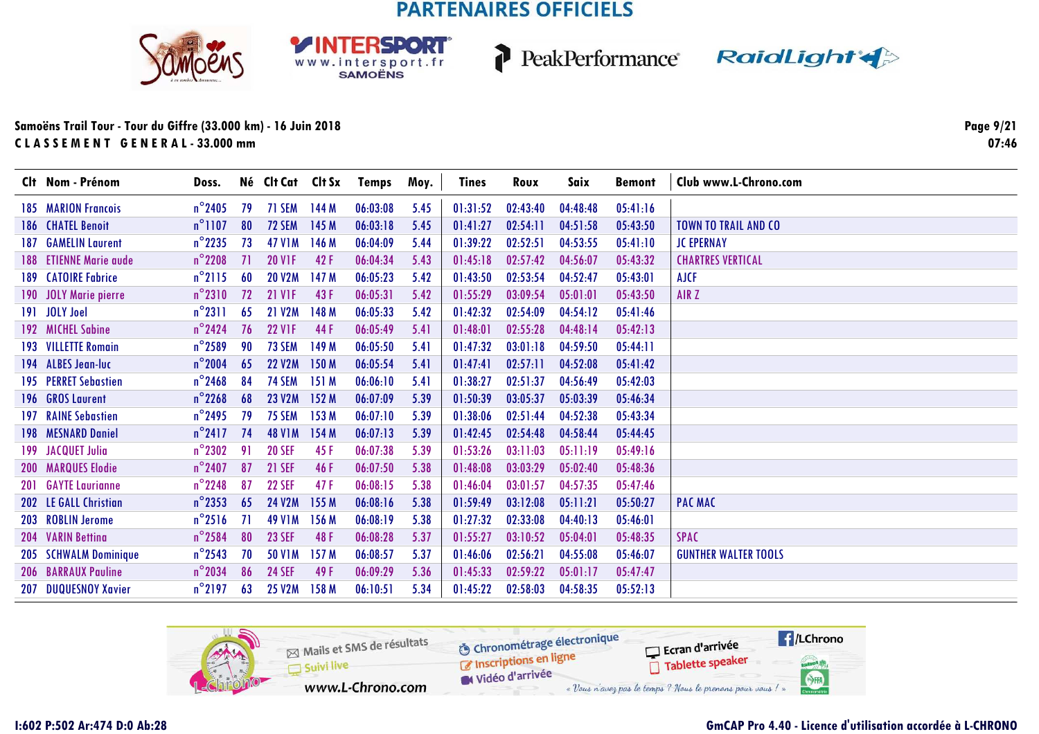





### Samoëns Trail Tour - Tour du Giffre (33.000 km) - 16 Juin 2018 CLASSEMENT GENERAL-33.000 mm

Page 9/21  $07:46$ 

|     | Clt Nom - Prénom           | Doss.            |     | Né Clt Cat Clt Sx |                  | Temps    | Moy. | <b>Tines</b> | Roux     | Saix     | Bemont   | Club www.L-Chrono.com       |
|-----|----------------------------|------------------|-----|-------------------|------------------|----------|------|--------------|----------|----------|----------|-----------------------------|
|     | <b>185 MARION Francois</b> | $n^{\circ}$ 2405 | 79  | 71 SEM            | 144 M            | 06:03:08 | 5.45 | 01:31:52     | 02:43:40 | 04:48:48 | 05:41:16 |                             |
|     | 186 CHATEL Benoit          | $n^{\circ}$ 1107 | 80  | 72 SEM            | 145 M            | 06:03:18 | 5.45 | 01:41:27     | 02:54:11 | 04:51:58 | 05:43:50 | <b>TOWN TO TRAIL AND CO</b> |
| 187 | <b>GAMELIN Laurent</b>     | $n^{\circ}$ 2235 | 73  | <b>47 V1M</b>     | 146 M            | 06:04:09 | 5.44 | 01:39:22     | 02:52:51 | 04:53:55 | 05:41:10 | <b>JC EPERNAY</b>           |
|     | 188 ETIENNE Marie aude     | $n^{\circ}$ 2208 | -71 | <b>20 VIF</b>     | 42 F             | 06:04:34 | 5.43 | 01:45:18     | 02:57:42 | 04:56:07 | 05:43:32 | <b>CHARTRES VERTICAL</b>    |
|     | 189 CATOIRE Fabrice        | $n^{\circ}$ 2115 | -60 | <b>20 V2M</b>     | 147 M            | 06:05:23 | 5.42 | 01:43:50     | 02:53:54 | 04:52:47 | 05:43:01 | <b>AJCF</b>                 |
|     | 190 JOLY Marie pierre      | $n^{\circ}2310$  | 72  | <b>21 V1F</b>     | 43 F             | 06:05:31 | 5.42 | 01:55:29     | 03:09:54 | 05:01:01 | 05:43:50 | AIR Z                       |
|     | 191 JOLY Joel              | $n^{\circ}2311$  | -65 | <b>21 V2M</b>     | 148 M            | 06:05:33 | 5.42 | 01:42:32     | 02:54:09 | 04:54:12 | 05:41:46 |                             |
|     | 192 MICHEL Sabine          | $n^{\circ}$ 2424 | 76  | <b>22 V1F</b>     | 44 F             | 06:05:49 | 5.41 | 01:48:01     | 02:55:28 | 04:48:14 | 05:42:13 |                             |
|     | 193 VILLETTE Romain        | $n^{\circ}$ 2589 | 90  | 73 SEM            | 149 M            | 06:05:50 | 5.41 | 01:47:32     | 03:01:18 | 04:59:50 | 05:44:11 |                             |
|     | 194 ALBES Jean-luc         | $n^{\circ}$ 2004 | 65  | <b>22 V2M</b>     | 150 M            | 06:05:54 | 5.41 | 01:47:41     | 02:57:11 | 04:52:08 | 05:41:42 |                             |
|     | 195 PERRET Sebastien       | $n^{\circ}$ 2468 | 84  | 74 SEM            | 151M             | 06:06:10 | 5.41 | 01:38:27     | 02:51:37 | 04:56:49 | 05:42:03 |                             |
|     | 196 GROS Laurent           | $n^{\circ}$ 2268 | 68  | <b>23 V2M</b>     | 152 M            | 06:07:09 | 5.39 | 01:50:39     | 03:05:37 | 05:03:39 | 05:46:34 |                             |
|     | 197 RAINE Sebastien        | $n^{\circ}$ 2495 | 79  | <b>75 SEM</b>     | 153 M            | 06:07:10 | 5.39 | 01:38:06     | 02:51:44 | 04:52:38 | 05:43:34 |                             |
|     | 198 MESNARD Daniel         | $n^{\circ}2417$  | 74  | <b>48 V1M</b>     | 154M             | 06:07:13 | 5.39 | 01:42:45     | 02:54:48 | 04:58:44 | 05:44:45 |                             |
|     | 199 JACQUET Julia          | $n^{\circ}$ 2302 | 91  | <b>20 SEF</b>     | 45 F             | 06:07:38 | 5.39 | 01:53:26     | 03:11:03 | 05:11:19 | 05:49:16 |                             |
|     | <b>200 MARQUES Elodie</b>  | $n^{\circ}$ 2407 | 87  | <b>21 SEF</b>     | 46 F             | 06:07:50 | 5.38 | 01:48:08     | 03:03:29 | 05:02:40 | 05:48:36 |                             |
| 201 | <b>GAYTE Laurianne</b>     | $n^{\circ}$ 2248 | 87  | <b>22 SEF</b>     | 47 F             | 06:08:15 | 5.38 | 01:46:04     | 03:01:57 | 04:57:35 | 05:47:46 |                             |
|     | 202 LE GALL Christian      | $n^{\circ}$ 2353 | 65  | <b>24 V2M</b>     | 155 M            | 06:08:16 | 5.38 | 01:59:49     | 03:12:08 | 05:11:21 | 05:50:27 | <b>PAC MAC</b>              |
|     | 203 ROBLIN Jerome          | $n^{\circ}2516$  | -71 | <b>49 V1M</b>     | 156 M            | 06:08:19 | 5.38 | 01:27:32     | 02:33:08 | 04:40:13 | 05:46:01 |                             |
|     | 204 VARIN Bettina          | $n^{\circ}$ 2584 | 80  | <b>23 SEF</b>     | 48 F             | 06:08:28 | 5.37 | 01:55:27     | 03:10:52 | 05:04:01 | 05:48:35 | <b>SPAC</b>                 |
|     | 205 SCHWALM Dominique      | $n^{\circ}$ 2543 | 70  | <b>50 V1M</b>     | 157 <sub>M</sub> | 06:08:57 | 5.37 | 01:46:06     | 02:56:21 | 04:55:08 | 05:46:07 | <b>GUNTHER WALTER TOOLS</b> |
|     | <b>206 BARRAUX Pauline</b> | $n^{\circ}$ 2034 | 86  | <b>24 SEF</b>     | 49 F             | 06:09:29 | 5.36 | 01:45:33     | 02:59:22 | 05:01:17 | 05:47:47 |                             |
| 207 | <b>DUQUESNOY Xavier</b>    | $n^{\circ}$ 2197 | 63  | <b>25 V2M</b>     | 158 M            | 06:10:51 | 5.34 | 01:45:22     | 02:58:03 | 04:58:35 | 05:52:13 |                             |

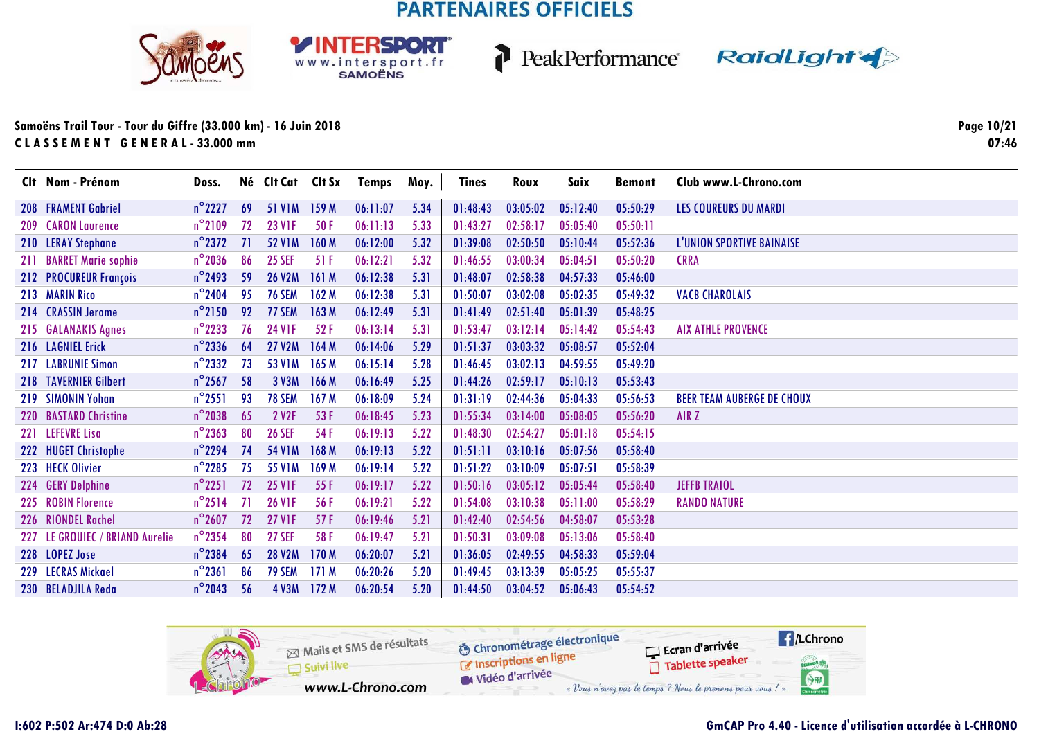





#### Samoëns Trail Tour - Tour du Giffre (33.000 km) - 16 Juin 2018 CLASSEMENT GENERAL-33.000 mm

Page 10/21  $07:46$ 

| Clt Nom - Prénom                | Doss.            |    | Né Clt Cat Clt Sx |                  | <b>Temps</b> | Moy. | Tines    | Roux     | Saix     | <b>Bemont</b> | Club www.L-Chrono.com             |
|---------------------------------|------------------|----|-------------------|------------------|--------------|------|----------|----------|----------|---------------|-----------------------------------|
| <b>208 FRAMENT Gabriel</b>      | $n^{\circ}$ 2227 | 69 | 51 V1M 159 M      |                  | 06:11:07     | 5.34 | 01:48:43 | 03:05:02 | 05:12:40 | 05:50:29      | <b>LES COUREURS DU MARDI</b>      |
| <b>209 CARON Laurence</b>       | $n^{\circ}$ 2109 | 72 | <b>23 V1F</b>     | 50F              | 06:11:13     | 5.33 | 01:43:27 | 02:58:17 | 05:05:40 | 05:50:11      |                                   |
| 210 LERAY Stephane              | $n^{\circ}$ 2372 | 71 | <b>52 V1M</b>     | 160 M            | 06:12:00     | 5.32 | 01:39:08 | 02:50:50 | 05:10:44 | 05:52:36      | L'UNION SPORTIVE BAINAISE         |
| 211 BARRET Marie sophie         | $n^{\circ}$ 2036 | 86 | <b>25 SEF</b>     | 51 F             | 06:12:21     | 5.32 | 01:46:55 | 03:00:34 | 05:04:51 | 05:50:20      | <b>CRRA</b>                       |
| 212 PROCUREUR François          | $n^{\circ}$ 2493 | 59 | <b>26 V2M</b>     | 161M             | 06:12:38     | 5.31 | 01:48:07 | 02:58:38 | 04:57:33 | 05:46:00      |                                   |
| 213 MARIN Rico                  | $n^{\circ}$ 2404 | 95 | <b>76 SEM</b>     | 162M             | 06:12:38     | 5.31 | 01:50:07 | 03:02:08 | 05:02:35 | 05:49:32      | <b>VACB CHAROLAIS</b>             |
| 214 CRASSIN Jerome              | $n^{\circ}$ 2150 | 92 | 77 SEM            | 163 M            | 06:12:49     | 5.31 | 01:41:49 | 02:51:40 | 05:01:39 | 05:48:25      |                                   |
| 215 GALANAKIS Agnes             | $n^{\circ}$ 2233 | 76 | <b>24 VIF</b>     | 52 F             | 06:13:14     | 5.31 | 01:53:47 | 03:12:14 | 05:14:42 | 05:54:43      | <b>AIX ATHLE PROVENCE</b>         |
| 216 LAGNIEL Erick               | $n^{\circ}$ 2336 | 64 | <b>27 V2M</b>     | 164 M            | 06:14:06     | 5.29 | 01:51:37 | 03:03:32 | 05:08:57 | 05:52:04      |                                   |
| 217 LABRUNIE Simon              | $n^{\circ}$ 2332 | 73 | <b>53 V1M</b>     | 165 M            | 06:15:14     | 5.28 | 01:46:45 | 03:02:13 | 04:59:55 | 05:49:20      |                                   |
| 218 TAVERNIER Gilbert           | $n^{\circ}$ 2567 | 58 | 3 V3M             | 166 M            | 06:16:49     | 5.25 | 01:44:26 | 02:59:17 | 05:10:13 | 05:53:43      |                                   |
| 219 SIMONIN Yohan               | $n^{\circ}$ 2551 | 93 | <b>78 SEM</b>     | 167 <sub>M</sub> | 06:18:09     | 5.24 | 01:31:19 | 02:44:36 | 05:04:33 | 05:56:53      | <b>BEER TEAM AUBERGE DE CHOUX</b> |
| 220 BASTARD Christine           | $n^{\circ}$ 2038 | 65 | 2 V <sub>2F</sub> | 53 F             | 06:18:45     | 5.23 | 01:55:34 | 03:14:00 | 05:08:05 | 05:56:20      | AIR Z                             |
| 221 LEFEVRE Lisa                | $n^{\circ}$ 2363 | 80 | <b>26 SEF</b>     | 54 F             | 06:19:13     | 5.22 | 01:48:30 | 02:54:27 | 05:01:18 | 05:54:15      |                                   |
| 222 HUGET Christophe            | $n^{\circ}$ 2294 | 74 | <b>54 V1M</b>     | 168 M            | 06:19:13     | 5.22 | 01:51:11 | 03:10:16 | 05:07:56 | 05:58:40      |                                   |
| 223 HECK Olivier                | $n^{\circ}$ 2285 | 75 | 55 V1M            | 169 M            | 06:19:14     | 5.22 | 01:51:22 | 03:10:09 | 05:07:51 | 05:58:39      |                                   |
| 224 GERY Delphine               | $n^{\circ}$ 2251 | 72 | <b>25 VIF</b>     | 55F              | 06:19:17     | 5.22 | 01:50:16 | 03:05:12 | 05:05:44 | 05:58:40      | <b>JEFFB TRAIOL</b>               |
| 225 ROBIN Florence              | $n^{\circ}$ 2514 | 71 | <b>26 V1F</b>     | 56 F             | 06:19:21     | 5.22 | 01:54:08 | 03:10:38 | 05:11:00 | 05:58:29      | <b>RANDO NATURE</b>               |
| 226 RIONDEL Rachel              | $n^{\circ}$ 2607 | 72 | <b>27 VIF</b>     | 57 F             | 06:19:46     | 5.21 | 01:42:40 | 02:54:56 | 04:58:07 | 05:53:28      |                                   |
| 227 LE GROUIEC / BRIAND Aurelie | $n^{\circ}$ 2354 | 80 | <b>27 SEF</b>     | 58 F             | 06:19:47     | 5.21 | 01:50:31 | 03:09:08 | 05:13:06 | 05:58:40      |                                   |
| 228 LOPEZ Jose                  | $n^{\circ}$ 2384 | 65 | <b>28 V2M</b>     | 170 M            | 06:20:07     | 5.21 | 01:36:05 | 02:49:55 | 04:58:33 | 05:59:04      |                                   |
| 229 LECRAS Mickael              | $n^{\circ}$ 2361 | 86 | <b>79 SEM</b>     | 171M             | 06:20:26     | 5.20 | 01:49:45 | 03:13:39 | 05:05:25 | 05:55:37      |                                   |
| 230 BELADJILA Reda              | $n^{\circ}$ 2043 | 56 | 4 V3M 172 M       |                  | 06:20:54     | 5.20 | 01:44:50 | 03:04:52 | 05:06:43 | 05:54:52      |                                   |

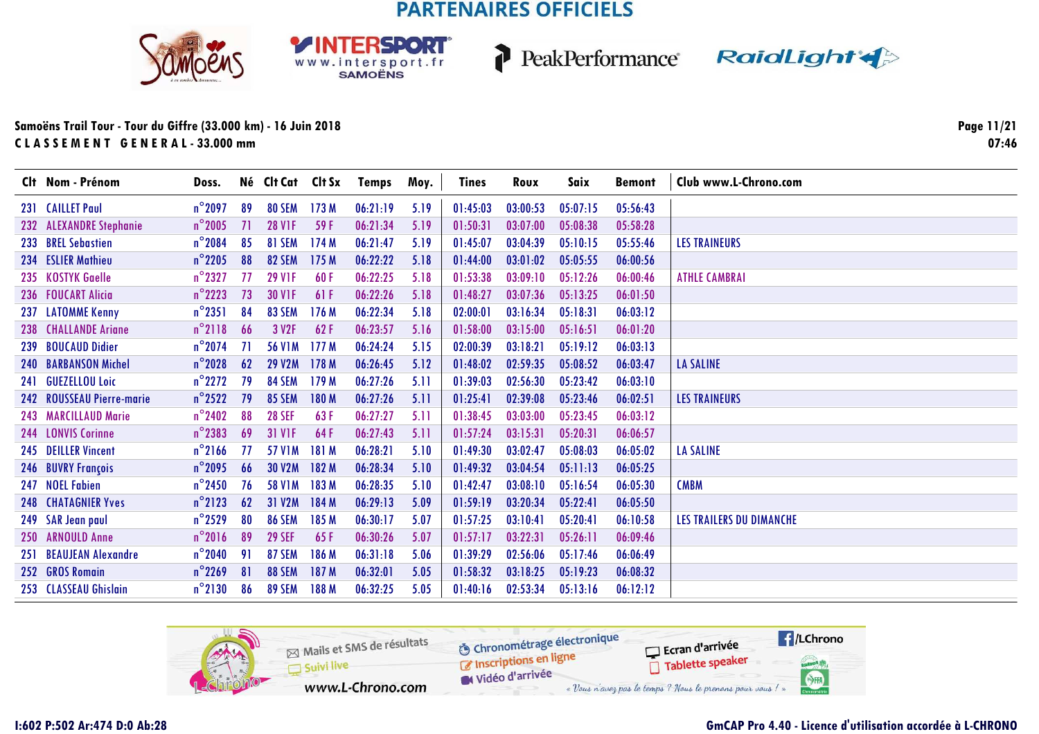**RSDORT** 

WWW.intersport.fr







### **Samoëns Trail Tour - Tour du Giffre (33.000 km) - 16 Juin 2018C L A S S E M E N T G E N E R A L - 33.000 mm**

**Page 11/2107:46**

| Clt Nom - Prénom            | Doss.            |     | Né Clt Cat Clt Sx |       | Temps    | Moy. | Tines    | Roux     | Saix     | <b>Bemont</b> | Club www.L-Chrono.com           |
|-----------------------------|------------------|-----|-------------------|-------|----------|------|----------|----------|----------|---------------|---------------------------------|
| 231 CAILLET Paul            | $n^{\circ}$ 2097 | 89  | 80 SEM            | 173M  | 06:21:19 | 5.19 | 01:45:03 | 03:00:53 | 05:07:15 | 05:56:43      |                                 |
| 232 ALEXANDRE Stephanie     | $n^{\circ}$ 2005 | 71  | <b>28 V1F</b>     | 59 F  | 06:21:34 | 5.19 | 01:50:31 | 03:07:00 | 05:08:38 | 05:58:28      |                                 |
| 233 BREL Sebastien          | $n^{\circ}$ 2084 | 85  | 81 SEM            | 174M  | 06:21:47 | 5.19 | 01:45:07 | 03:04:39 | 05:10:15 | 05:55:46      | <b>LES TRAINEURS</b>            |
| 234 ESLIER Mathieu          | $n^{\circ}$ 2205 | 88  | <b>82 SEM</b>     | 175 M | 06:22:22 | 5.18 | 01:44:00 | 03:01:02 | 05:05:55 | 06:00:56      |                                 |
| 235 KOSTYK Gaelle           | $n^{\circ}$ 2327 | 77  | <b>29 V1F</b>     | 60F   | 06:22:25 | 5.18 | 01:53:38 | 03:09:10 | 05:12:26 | 06:00:46      | <b>ATHLE CAMBRAI</b>            |
| 236 FOUCART Alicia          | $n^{\circ}$ 2223 | 73  | <b>30 V1F</b>     | 61F   | 06:22:26 | 5.18 | 01:48:27 | 03:07:36 | 05:13:25 | 06:01:50      |                                 |
| 237 LATOMME Kenny           | $n^{\circ}$ 2351 | 84  | 83 SEM            | 176 M | 06:22:34 | 5.18 | 02:00:01 | 03:16:34 | 05:18:31 | 06:03:12      |                                 |
| 238 CHALLANDE Ariane        | $n^{\circ}$ 2118 | 66  | 3 V <sub>2F</sub> | 62F   | 06:23:57 | 5.16 | 01:58:00 | 03:15:00 | 05:16:51 | 06:01:20      |                                 |
| 239 BOUCAUD Didier          | $n^{\circ}$ 2074 | -71 | <b>56 V1M</b>     | 177M  | 06:24:24 | 5.15 | 02:00:39 | 03:18:21 | 05:19:12 | 06:03:13      |                                 |
| <b>240 BARBANSON Michel</b> | $n^{\circ}$ 2028 | 62  | <b>29 V2M</b>     | 178 M | 06:26:45 | 5.12 | 01:48:02 | 02:59:35 | 05:08:52 | 06:03:47      | <b>LA SALINE</b>                |
| 241 GUEZELLOU Loic          | $n^{\circ}$ 2272 | 79  | 84 SEM            | 179 M | 06:27:26 | 5.11 | 01:39:03 | 02:56:30 | 05:23:42 | 06:03:10      |                                 |
| 242 ROUSSEAU Pierre-marie   | $n^{\circ}$ 2522 | 79  | <b>85 SEM</b>     | 180 M | 06:27:26 | 5.11 | 01:25:41 | 02:39:08 | 05:23:46 | 06:02:51      | <b>LES TRAINEURS</b>            |
| 243 MARCILLAUD Marie        | $n^{\circ}$ 2402 | 88  | <b>28 SEF</b>     | 63F   | 06:27:27 | 5.11 | 01:38:45 | 03:03:00 | 05:23:45 | 06:03:12      |                                 |
| 244 LONVIS Corinne          | $n^{\circ}$ 2383 | 69  | <b>31 V1F</b>     | 64F   | 06:27:43 | 5.11 | 01:57:24 | 03:15:31 | 05:20:31 | 06:06:57      |                                 |
| 245 DEILLER Vincent         | $n^{\circ}$ 2166 | 77  | <b>57 V1M</b>     | 181 M | 06:28:21 | 5.10 | 01:49:30 | 03:02:47 | 05:08:03 | 06:05:02      | LA SALINE                       |
| 246 BUVRY François          | $n^{\circ}$ 2095 | 66  | <b>30 V2M</b>     | 182 M | 06:28:34 | 5.10 | 01:49:32 | 03:04:54 | 05:11:13 | 06:05:25      |                                 |
| 247 NOEL Fabien             | $n^{\circ}$ 2450 | 76  | <b>58 V1M</b>     | 183 M | 06:28:35 | 5.10 | 01:42:47 | 03:08:10 | 05:16:54 | 06:05:30      | <b>CMBM</b>                     |
| <b>248 CHATAGNIER Yves</b>  | $n^{\circ}$ 2123 | 62  | 31 V2M            | 184 M | 06:29:13 | 5.09 | 01:59:19 | 03:20:34 | 05:22:41 | 06:05:50      |                                 |
| 249 SAR Jean paul           | $n^{\circ}$ 2529 | 80  | <b>86 SEM</b>     | 185 M | 06:30:17 | 5.07 | 01:57:25 | 03:10:41 | 05:20:41 | 06:10:58      | <b>LES TRAILERS DU DIMANCHE</b> |
| 250 ARNOULD Anne            | $n^{\circ}2016$  | 89  | <b>29 SEF</b>     | 65F   | 06:30:26 | 5.07 | 01:57:17 | 03:22:31 | 05:26:11 | 06:09:46      |                                 |
| 251 BEAUJEAN Alexandre      | $n^{\circ}$ 2040 | 91  | <b>87 SEM</b>     | 186 M | 06:31:18 | 5.06 | 01:39:29 | 02:56:06 | 05:17:46 | 06:06:49      |                                 |
| 252 GROS Romain             | $n^{\circ}$ 2269 | 81  | <b>88 SEM</b>     | 187 M | 06:32:01 | 5.05 | 01:58:32 | 03:18:25 | 05:19:23 | 06:08:32      |                                 |
| 253 CLASSEAU Ghislain       | $n^{\circ}2130$  | 86  | <b>89 SEM</b>     | 188 M | 06:32:25 | 5.05 | 01:40:16 | 02:53:34 | 05:13:16 | 06:12:12      |                                 |

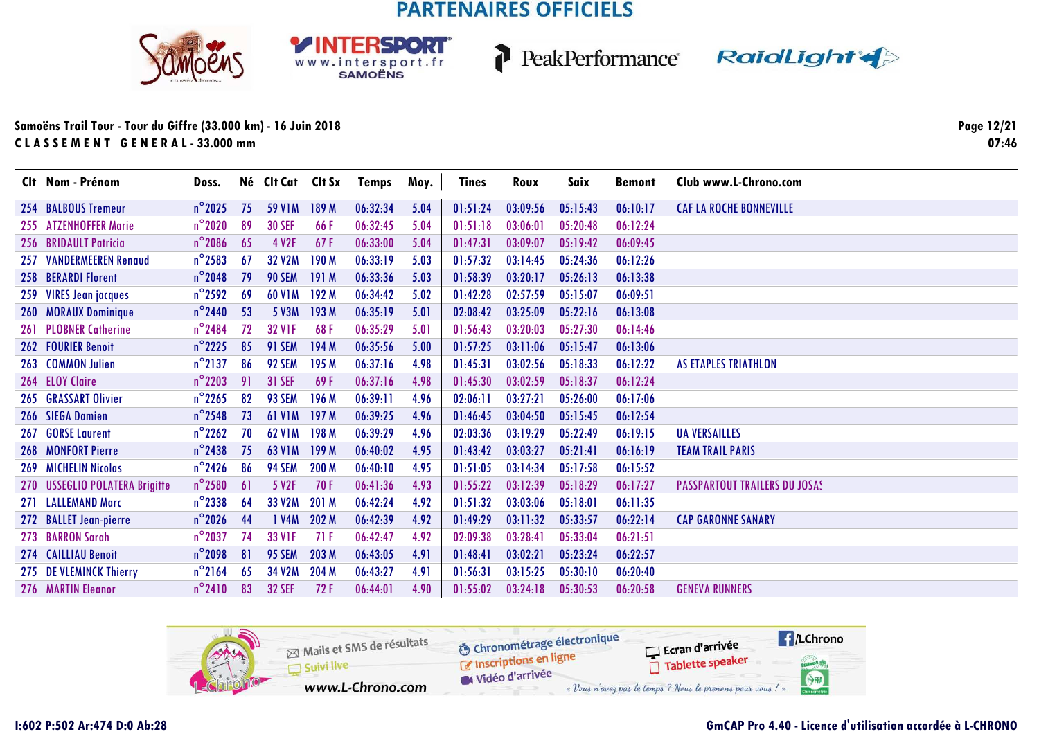





### **Samoëns Trail Tour - Tour du Giffre (33.000 km) - 16 Juin 2018C L A S S E M E N T G E N E R A L - 33.000 mm**

**Page 12/2107:46**

| Clt Nom - Prénom               | Doss.            |    | Né Clt Cat Clt Sx |                  | Temps    | Moy. | <b>Tines</b> | Roux     | Saix     | <b>Bemont</b> | Club www.L-Chrono.com                |
|--------------------------------|------------------|----|-------------------|------------------|----------|------|--------------|----------|----------|---------------|--------------------------------------|
| 254 BALBOUS Tremeur            | $n^{\circ}$ 2025 | 75 | <b>59 V1M</b>     | 189 M            | 06:32:34 | 5.04 | 01:51:24     | 03:09:56 | 05:15:43 | 06:10:17      | <b>CAF LA ROCHE BONNEVILLE</b>       |
| 255 ATZENHOFFER Marie          | $n^{\circ}$ 2020 | 89 | <b>30 SEF</b>     | 66F              | 06:32:45 | 5.04 | 01:51:18     | 03:06:01 | 05:20:48 | 06:12:24      |                                      |
| 256 BRIDAULT Patricia          | $n^{\circ}$ 2086 | 65 | 4 V2F             | 67F              | 06:33:00 | 5.04 | 01:47:31     | 03:09:07 | 05:19:42 | 06:09:45      |                                      |
| 257 VANDERMEEREN Renaud        | $n^{\circ}$ 2583 | 67 | <b>32 V2M</b>     | 190 M            | 06:33:19 | 5.03 | 01:57:32     | 03:14:45 | 05:24:36 | 06:12:26      |                                      |
| 258 BERARDI Florent            | $n^{\circ}$ 2048 | 79 | <b>90 SEM</b>     | 191M             | 06:33:36 | 5.03 | 01:58:39     | 03:20:17 | 05:26:13 | 06:13:38      |                                      |
| 259 VIRES Jean jacques         | $n^{\circ}$ 2592 | 69 | <b>60 V1M</b>     | 192 M            | 06:34:42 | 5.02 | 01:42:28     | 02:57:59 | 05:15:07 | 06:09:51      |                                      |
| 260 MORAUX Dominique           | $n^{\circ}$ 2440 | 53 | 5 V3M             | 193 M            | 06:35:19 | 5.01 | 02:08:42     | 03:25:09 | 05:22:16 | 06:13:08      |                                      |
| 261 PLOBNER Catherine          | $n^{\circ}$ 2484 | 72 | <b>32 VIF</b>     | 68F              | 06:35:29 | 5.01 | 01:56:43     | 03:20:03 | 05:27:30 | 06:14:46      |                                      |
| 262 FOURIER Benoit             | $n^{\circ}$ 2225 | 85 | <b>91 SEM</b>     | 194 M            | 06:35:56 | 5.00 | 01:57:25     | 03:11:06 | 05:15:47 | 06:13:06      |                                      |
| 263 COMMON Julien              | $n^{\circ}$ 2137 | 86 | 92 SEM            | 195 M            | 06:37:16 | 4.98 | 01:45:31     | 03:02:56 | 05:18:33 | 06:12:22      | <b>AS ETAPLES TRIATHLON</b>          |
| 264 ELOY Claire                | $n^{\circ}$ 2203 | 91 | <b>31 SEF</b>     | 69F              | 06:37:16 | 4.98 | 01:45:30     | 03:02:59 | 05:18:37 | 06:12:24      |                                      |
| <b>265 GRASSART Olivier</b>    | $n^{\circ}$ 2265 | 82 | 93 SEM            | 196 M            | 06:39:11 | 4.96 | 02:06:11     | 03:27:21 | 05:26:00 | 06:17:06      |                                      |
| 266 SIEGA Damien               | $n^{\circ}$ 2548 | 73 | <b>61 V1M</b>     | 197 <sub>M</sub> | 06:39:25 | 4.96 | 01:46:45     | 03:04:50 | 05:15:45 | 06:12:54      |                                      |
| 267 GORSE Laurent              | $n^{\circ}$ 2262 | 70 | <b>62 V1M</b>     | 198 M            | 06:39:29 | 4.96 | 02:03:36     | 03:19:29 | 05:22:49 | 06:19:15      | <b>UA VERSAILLES</b>                 |
| <b>268 MONFORT Pierre</b>      | $n^{\circ}$ 2438 | 75 | <b>63 V1M</b>     | 199 M            | 06:40:02 | 4.95 | 01:43:42     | 03:03:27 | 05:21:41 | 06:16:19      | <b>TEAM TRAIL PARIS</b>              |
| 269 MICHELIN Nicolas           | $n^{\circ}$ 2426 | 86 | 94 SEM            | 200 M            | 06:40:10 | 4.95 | 01:51:05     | 03:14:34 | 05:17:58 | 06:15:52      |                                      |
| 270 USSEGLIO POLATERA Brigitte | $n^{\circ}$ 2580 | 6  | 5 V <sub>2F</sub> | 70F              | 06:41:36 | 4.93 | 01:55:22     | 03:12:39 | 05:18:29 | 06:17:27      | <b>PASSPARTOUT TRAILERS DU JOSAS</b> |
| 271 LALLEMAND Marc             | $n^{\circ}$ 2338 | 64 | 33 V2M            | 201 M            | 06:42:24 | 4.92 | 01:51:32     | 03:03:06 | 05:18:01 | 06:11:35      |                                      |
| 272 BALLET Jean-pierre         | $n^{\circ}$ 2026 | 44 | 1 V4M             | 202 M            | 06:42:39 | 4.92 | 01:49:29     | 03:11:32 | 05:33:57 | 06:22:14      | <b>CAP GARONNE SANARY</b>            |
| 273 BARRON Sarah               | $n^{\circ}$ 2037 | 74 | <b>33 V1F</b>     | 71F              | 06:42:47 | 4.92 | 02:09:38     | 03:28:41 | 05:33:04 | 06:21:51      |                                      |
| 274 CAILLIAU Benoit            | $n^{\circ}$ 2098 | 81 | 95 SEM            | 203 M            | 06:43:05 | 4.91 | 01:48:41     | 03:02:21 | 05:23:24 | 06:22:57      |                                      |
| 275 DE VLEMINCK Thierry        | $n^{\circ}$ 2164 | 65 | 34 V2M            | 204 M            | 06:43:27 | 4.91 | 01:56:31     | 03:15:25 | 05:30:10 | 06:20:40      |                                      |
| 276 MARTIN Eleanor             | $n^{\circ}2410$  | 83 | <b>32 SEF</b>     | 72F              | 06:44:01 | 4.90 | 01:55:02     | 03:24:18 | 05:30:53 | 06:20:58      | <b>GENEVA RUNNERS</b>                |

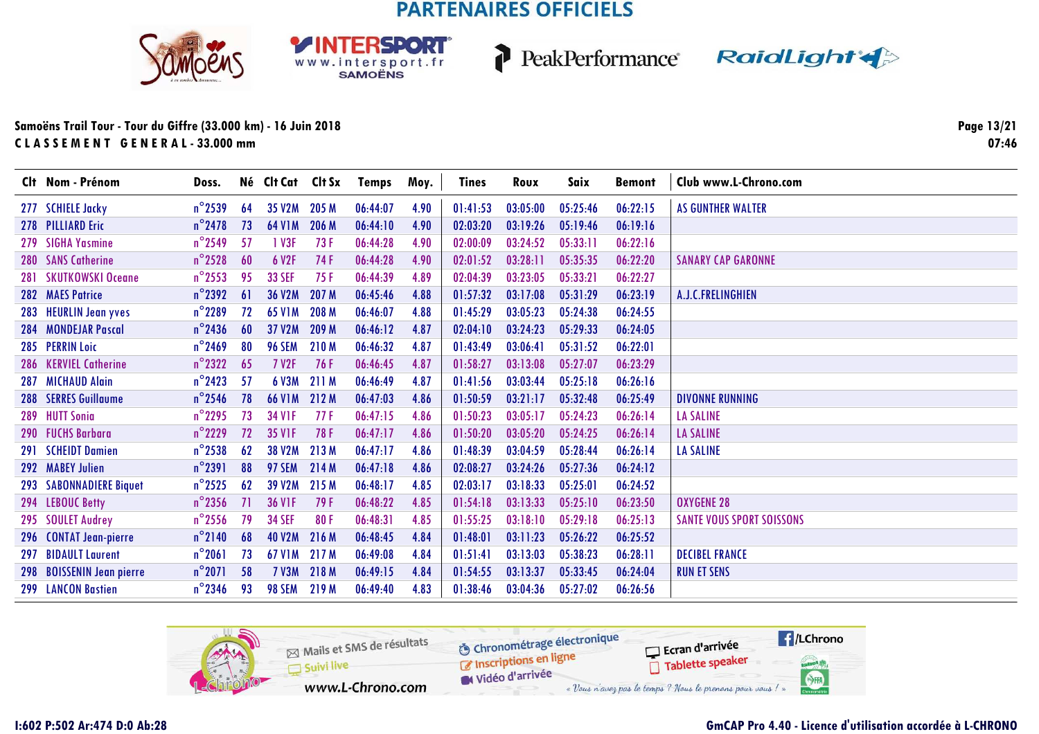





#### Samoëns Trail Tour - Tour du Giffre (33.000 km) - 16 Juin 2018 CLASSEMENT GENERAL-33.000 mm

Page 13/21  $07:46$ 

| Clt Nom - Prénom          | Doss.            |    | Né Clt Cat Clt Sx |              | Temps    | Moy. | <b>Tines</b> | Roux     | Saix     | <b>Bemont</b> | Club www.L-Chrono.com            |
|---------------------------|------------------|----|-------------------|--------------|----------|------|--------------|----------|----------|---------------|----------------------------------|
| 277 SCHIELE Jacky         | $n^{\circ}$ 2539 | 64 | 35 V2M 205 M      |              | 06:44:07 | 4.90 | 01:41:53     | 03:05:00 | 05:25:46 | 06:22:15      | <b>AS GUNTHER WALTER</b>         |
| 278 PILLIARD Eric         | $n^{\circ}$ 2478 | 73 | <b>64 V1M</b>     | 206 M        | 06:44:10 | 4.90 | 02:03:20     | 03:19:26 | 05:19:46 | 06:19:16      |                                  |
| 279 SIGHA Yasmine         | $n^{\circ}$ 2549 | 57 | 1 V3F             | 73F          | 06:44:28 | 4.90 | 02:00:09     | 03:24:52 | 05:33:11 | 06:22:16      |                                  |
| 280 SANS Catherine        | $n^{\circ}$ 2528 | 60 | 6 V2F             | 74 F         | 06:44:28 | 4.90 | 02:01:52     | 03:28:11 | 05:35:35 | 06:22:20      | <b>SANARY CAP GARONNE</b>        |
| 281 SKUTKOWSKI Oceane     | $n^{\circ}$ 2553 | 95 | <b>33 SEF</b>     | 75F          | 06:44:39 | 4.89 | 02:04:39     | 03:23:05 | 05:33:21 | 06:22:27      |                                  |
| 282 MAES Patrice          | $n^{\circ}$ 2392 | 61 | <b>36 V2M</b>     | 207 M        | 06:45:46 | 4.88 | 01:57:32     | 03:17:08 | 05:31:29 | 06:23:19      | A.J.C.FRELINGHIEN                |
| 283 HEURLIN Jean yves     | $n^{\circ}$ 2289 | 72 | <b>65 V1M</b>     | 208 M        | 06:46:07 | 4.88 | 01:45:29     | 03:05:23 | 05:24:38 | 06:24:55      |                                  |
| 284 MONDEJAR Pascal       | $n^{\circ}$ 2436 | 60 | 37 V2M            | 209 M        | 06:46:12 | 4.87 | 02:04:10     | 03:24:23 | 05:29:33 | 06:24:05      |                                  |
| 285 PERRIN Loic           | $n^{\circ}$ 2469 | 80 | <b>96 SEM</b>     | <b>210 M</b> | 06:46:32 | 4.87 | 01:43:49     | 03:06:41 | 05:31:52 | 06:22:01      |                                  |
| 286 KERVIEL Catherine     | $n^{\circ}$ 2322 | 65 | <b>7 V2F</b>      | 76F          | 06:46:45 | 4.87 | 01:58:27     | 03:13:08 | 05:27:07 | 06:23:29      |                                  |
| 287 MICHAUD Alain         | $n^{\circ}$ 2423 | 57 | 6 V3M             | 211 M        | 06:46:49 | 4.87 | 01:41:56     | 03:03:44 | 05:25:18 | 06:26:16      |                                  |
| 288 SERRES Guillaume      | $n^{\circ}$ 2546 | 78 | <b>66 V1M</b>     | 212 M        | 06:47:03 | 4.86 | 01:50:59     | 03:21:17 | 05:32:48 | 06:25:49      | <b>DIVONNE RUNNING</b>           |
| 289 HUTT Sonia            | $n^{\circ}$ 2295 | 73 | <b>34 VIF</b>     | 77 F         | 06:47:15 | 4.86 | 01:50:23     | 03:05:17 | 05:24:23 | 06:26:14      | <b>LA SALINE</b>                 |
| 290 FUCHS Barbara         | $n^{\circ}$ 2229 | 72 | <b>35 VIF</b>     | 78 F         | 06:47:17 | 4.86 | 01:50:20     | 03:05:20 | 05:24:25 | 06:26:14      | <b>LA SALINE</b>                 |
| 291 SCHEIDT Damien        | $n^{\circ}$ 2538 | 62 | <b>38 V2M</b>     | 213 M        | 06:47:17 | 4.86 | 01:48:39     | 03:04:59 | 05:28:44 | 06:26:14      | <b>LA SALINE</b>                 |
| 292 MABEY Julien          | $n^{\circ}$ 2391 | 88 | <b>97 SEM</b>     | 214 M        | 06:47:18 | 4.86 | 02:08:27     | 03:24:26 | 05:27:36 | 06:24:12      |                                  |
| 293 SABONNADIERE Biquet   | $n^{\circ}$ 2525 | 62 | 39 V2M            | 215 M        | 06:48:17 | 4.85 | 02:03:17     | 03:18:33 | 05:25:01 | 06:24:52      |                                  |
| 294 LEBOUC Betty          | $n^{\circ}$ 2356 | 71 | <b>36 VIF</b>     | 79F          | 06:48:22 | 4.85 | 01:54:18     | 03:13:33 | 05:25:10 | 06:23:50      | <b>OXYGENE 28</b>                |
| 295 SOULET Audrey         | $n^{\circ}$ 2556 | 79 | <b>34 SEF</b>     | 80F          | 06:48:31 | 4.85 | 01:55:25     | 03:18:10 | 05:29:18 | 06:25:13      | <b>SANTE VOUS SPORT SOISSONS</b> |
| 296 CONTAT Jean-pierre    | $n^{\circ}$ 2140 | 68 | <b>40 V2M</b>     | 216 M        | 06:48:45 | 4.84 | 01:48:01     | 03:11:23 | 05:26:22 | 06:25:52      |                                  |
| 297 BIDAULT Laurent       | $n^{\circ}$ 2061 | 73 | 67 V1M 217 M      |              | 06:49:08 | 4.84 | 01:51:41     | 03:13:03 | 05:38:23 | 06:28:11      | <b>DECIBEL FRANCE</b>            |
| 298 BOISSENIN Jean pierre | $n^{\circ}2071$  | 58 | <b>7 V3M</b>      | 218 M        | 06:49:15 | 4.84 | 01:54:55     | 03:13:37 | 05:33:45 | 06:24:04      | <b>RUN ET SENS</b>               |
| 299 LANCON Bastien        | $n^{\circ}$ 2346 | 93 | 98 SEM 219 M      |              | 06:49:40 | 4.83 | 01:38:46     | 03:04:36 | 05:27:02 | 06:26:56      |                                  |

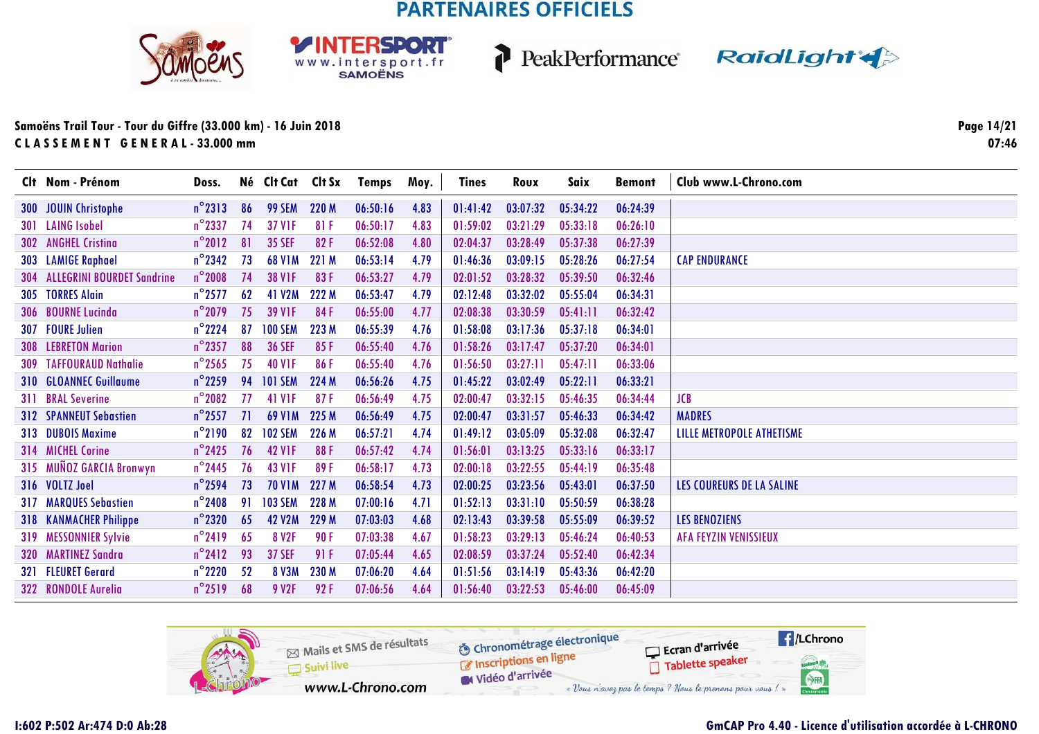**RSDORT** 

WWW.intersport.fr







### **Samoëns Trail Tour - Tour du Giffre (33.000 km) - 16 Juin 2018C L A S S E M E N T G E N E R A L - 33.000 mm**

**Page 14/2107:46**

| Clt Nom - Prénom               | Doss.            |    | Né Clt Cat Clt Sx |            | <b>Temps</b> | Moy. | Tines    | Roux     | Saix     | <b>Bemont</b> | Club www.L-Chrono.com        |
|--------------------------------|------------------|----|-------------------|------------|--------------|------|----------|----------|----------|---------------|------------------------------|
| 300 JOUIN Christophe           | $n^{\circ}$ 2313 | 86 | <b>99 SEM</b>     | 220 M      | 06:50:16     | 4.83 | 01:41:42 | 03:07:32 | 05:34:22 | 06:24:39      |                              |
| 301 LAING Isobel               | $n^{\circ}$ 2337 | 74 | <b>37 V1F</b>     | 81 F       | 06:50:17     | 4.83 | 01:59:02 | 03:21:29 | 05:33:18 | 06:26:10      |                              |
| 302 ANGHEL Cristina            | $n^{\circ}2012$  | 81 | <b>35 SEF</b>     | 82F        | 06:52:08     | 4.80 | 02:04:37 | 03:28:49 | 05:37:38 | 06:27:39      |                              |
| 303 LAMIGE Raphael             | $n^{\circ}$ 2342 | 73 | <b>68 V1M</b>     | 221 M      | 06:53:14     | 4.79 | 01:46:36 | 03:09:15 | 05:28:26 | 06:27:54      | <b>CAP ENDURANCE</b>         |
| 304 ALLEGRINI BOURDET Sandrine | $n^{\circ}$ 2008 | 74 | <b>38 V1F</b>     | 83F        | 06:53:27     | 4.79 | 02:01:52 | 03:28:32 | 05:39:50 | 06:32:46      |                              |
| 305 TORRES Alain               | $n^{\circ}$ 2577 | 62 | 41 V2M            | 222 M      | 06:53:47     | 4.79 | 02:12:48 | 03:32:02 | 05:55:04 | 06:34:31      |                              |
| 306 BOURNE Lucinda             | $n^{\circ}$ 2079 | 75 | <b>39 V1F</b>     | 84F        | 06:55:00     | 4.77 | 02:08:38 | 03:30:59 | 05:41:11 | 06:32:42      |                              |
| 307 FOURE Julien               | $n^{\circ}$ 2224 | 87 | <b>100 SEM</b>    | 223 M      | 06:55:39     | 4.76 | 01:58:08 | 03:17:36 | 05:37:18 | 06:34:01      |                              |
| <b>308 LEBRETON Marion</b>     | $n^{\circ}$ 2357 | 88 | <b>36 SEF</b>     | 85F        | 06:55:40     | 4.76 | 01:58:26 | 03:17:47 | 05:37:20 | 06:34:01      |                              |
| <b>309 TAFFOURAUD Nathalie</b> | $n^{\circ}$ 2565 | 75 | <b>40 V1F</b>     | 86F        | 06:55:40     | 4.76 | 01:56:50 | 03:27:11 | 05:47:11 | 06:33:06      |                              |
| 310 GLOANNEC Guillaume         | $n^{\circ}$ 2259 | 94 | <b>101 SEM</b>    | 224 M      | 06:56:26     | 4.75 | 01:45:22 | 03:02:49 | 05:22:11 | 06:33:21      |                              |
| 311 BRAL Severine              | $n^{\circ}$ 2082 | 77 | <b>41 V1F</b>     | 87F        | 06:56:49     | 4.75 | 02:00:47 | 03:32:15 | 05:46:35 | 06:34:44      | <b>JCB</b>                   |
| <b>312 SPANNEUT Sebastien</b>  | $n^{\circ}$ 2557 | 71 | <b>69 V1M</b>     | 225 M      | 06:56:49     | 4.75 | 02:00:47 | 03:31:57 | 05:46:33 | 06:34:42      | <b>MADRES</b>                |
| 313 DUBOIS Maxime              | $n^{\circ}$ 2190 | 82 | <b>102 SEM</b>    | 226 M      | 06:57:21     | 4.74 | 01:49:12 | 03:05:09 | 05:32:08 | 06:32:47      | LILLE METROPOLE ATHETISME    |
| 314 MICHEL Corine              | $n^{\circ}$ 2425 | 76 | <b>42 V1F</b>     | 88F        | 06:57:42     | 4.74 | 01:56:01 | 03:13:25 | 05:33:16 | 06:33:17      |                              |
| 315 MUÑOZ GARCIA Bronwyn       | $n^{\circ}$ 2445 | 76 | <b>43 V1F</b>     | 89F        | 06:58:17     | 4.73 | 02:00:18 | 03:22:55 | 05:44:19 | 06:35:48      |                              |
| 316 VOLTZ Joel                 | $n^{\circ}$ 2594 | 73 | <b>70 V1M</b>     | 227 M      | 06:58:54     | 4.73 | 02:00:25 | 03:23:56 | 05:43:01 | 06:37:50      | LES COUREURS DE LA SALINE    |
| <b>317 MARQUES Sebastien</b>   | $n^{\circ}$ 2408 | 91 | <b>103 SEM</b>    | 228 M      | 07:00:16     | 4.71 | 01:52:13 | 03:31:10 | 05:50:59 | 06:38:28      |                              |
| <b>318 KANMACHER Philippe</b>  | $n^{\circ}$ 2320 | 65 | <b>42 V2M</b>     | 229 M      | 07:03:03     | 4.68 | 02:13:43 | 03:39:58 | 05:55:09 | 06:39:52      | <b>LES BENOZIENS</b>         |
| 319 MESSONNIER Sylvie          | $n^{\circ}$ 2419 | 65 | 8 V <sub>2F</sub> | <b>90F</b> | 07:03:38     | 4.67 | 01:58:23 | 03:29:13 | 05:46:24 | 06:40:53      | <b>AFA FEYZIN VENISSIEUX</b> |
| 320 MARTINEZ Sandra            | $n^{\circ}2412$  | 93 | <b>37 SEF</b>     | 91F        | 07:05:44     | 4.65 | 02:08:59 | 03:37:24 | 05:52:40 | 06:42:34      |                              |
| 321 FLEURET Gerard             | $n^{\circ}$ 2220 | 52 | <b>8 V3M</b>      | 230 M      | 07:06:20     | 4.64 | 01:51:56 | 03:14:19 | 05:43:36 | 06:42:20      |                              |
| 322 RONDOLE Aurelia            | $n^{\circ}2519$  | 68 | 9 V2F             | 92F        | 07:06:56     | 4.64 | 01:56:40 | 03:22:53 | 05:46:00 | 06:45:09      |                              |

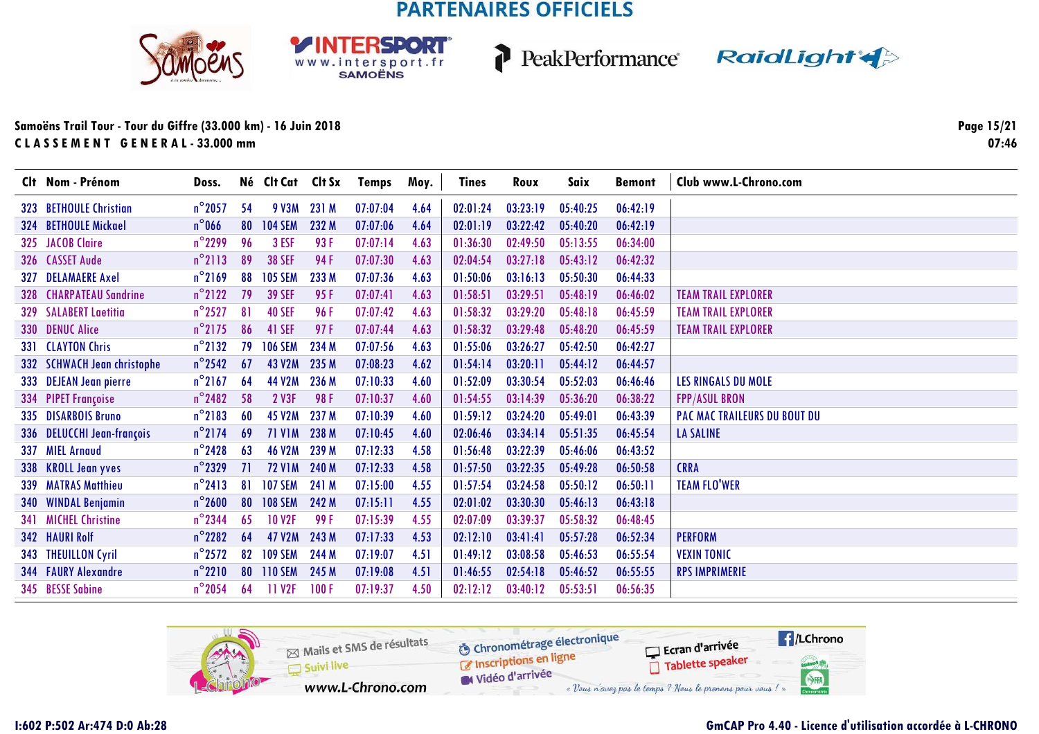**RSDORT** 

WWW.intersport.fr







### Samoëns Trail Tour - Tour du Giffre (33.000 km) - 16 Juin 2018 CLASSEMENT GENERAL-33.000 mm

Page 15/21  $07:46$ 

| Clt Nom - Prénom               | Doss.            |     | Né Clt Cat Clt Sx  |             | Temps    | Moy. | <b>Tines</b> | Roux     | Saix     | <b>Bemont</b> | Club www.L-Chrono.com               |
|--------------------------------|------------------|-----|--------------------|-------------|----------|------|--------------|----------|----------|---------------|-------------------------------------|
| 323 BETHOULE Christian         | $n^{\circ}$ 2057 | -54 |                    | 9 V3M 231 M | 07:07:04 | 4.64 | 02:01:24     | 03:23:19 | 05:40:25 | 06:42:19      |                                     |
| 324 BETHOULE Mickael           | $n^{\circ}$ 066  | 80  | <b>104 SEM</b>     | 232 M       | 07:07:06 | 4.64 | 02:01:19     | 03:22:42 | 05:40:20 | 06:42:19      |                                     |
| 325 JACOB Claire               | $n^{\circ}$ 2299 | 96  | 3 ESF              | 93 F        | 07:07:14 | 4.63 | 01:36:30     | 02:49:50 | 05:13:55 | 06:34:00      |                                     |
| 326 CASSET Aude                | $n^{\circ}$ 2113 | 89  | <b>38 SEF</b>      | 94 F        | 07:07:30 | 4.63 | 02:04:54     | 03:27:18 | 05:43:12 | 06:42:32      |                                     |
| 327 DELAMAERE Axel             | $n^{\circ}$ 2169 | 88  | <b>105 SEM</b>     | 233 M       | 07:07:36 | 4.63 | 01:50:06     | 03:16:13 | 05:50:30 | 06:44:33      |                                     |
| <b>328 CHARPATEAU Sandrine</b> | $n^{\circ}$ 2122 | 79  | <b>39 SEF</b>      | 95 F        | 07:07:41 | 4.63 | 01:58:51     | 03:29:51 | 05:48:19 | 06:46:02      | <b>TEAM TRAIL EXPLORER</b>          |
| <b>329 SALABERT Laetitia</b>   | $n^{\circ}$ 2527 | 81  | <b>40 SEF</b>      | 96 F        | 07:07:42 | 4.63 | 01:58:32     | 03:29:20 | 05:48:18 | 06:45:59      | <b>TEAM TRAIL EXPLORER</b>          |
| 330 DENUC Alice                | $n^{\circ}$ 2175 | 86  | 41 SEF             | 97F         | 07:07:44 | 4.63 | 01:58:32     | 03:29:48 | 05:48:20 | 06:45:59      | <b>TEAM TRAIL EXPLORER</b>          |
| 331 CLAYTON Chris              | $n^{\circ}$ 2132 | 79  | <b>106 SEM</b>     | 234 M       | 07:07:56 | 4.63 | 01:55:06     | 03:26:27 | 05:42:50 | 06:42:27      |                                     |
| 332 SCHWACH Jean christophe    | $n^{\circ}$ 2542 | 67  | <b>43 V2M</b>      | 235 M       | 07:08:23 | 4.62 | 01:54:14     | 03:20:11 | 05:44:12 | 06:44:57      |                                     |
| 333 DEJEAN Jean pierre         | $n^{\circ}$ 2167 | 64  | 44 V2M             | 236 M       | 07:10:33 | 4.60 | 01:52:09     | 03:30:54 | 05:52:03 | 06:46:46      | LES RINGALS DU MOLE                 |
| 334 PIPET Françoise            | $n^{\circ}$ 2482 | 58  | 2 V3F              | 98F         | 07:10:37 | 4.60 | 01:54:55     | 03:14:39 | 05:36:20 | 06:38:22      | <b>FPP/ASUL BRON</b>                |
| 335 DISARBOIS Bruno            | $n^{\circ}$ 2183 | 60  | <b>45 V2M</b>      | 237 M       | 07:10:39 | 4.60 | 01:59:12     | 03:24:20 | 05:49:01 | 06:43:39      | <b>PAC MAC TRAILEURS DU BOUT DU</b> |
| 336 DELUCCHI Jean-françois     | $n^{\circ}$ 2174 | 69  | <b>71 V1M</b>      | 238 M       | 07:10:45 | 4.60 | 02:06:46     | 03:34:14 | 05:51:35 | 06:45:54      | <b>LA SALINE</b>                    |
| 337 MIEL Arnaud                | $n^{\circ}$ 2428 | 63  | <b>46 V2M</b>      | 239 M       | 07:12:33 | 4.58 | 01:56:48     | 03:22:39 | 05:46:06 | 06:43:52      |                                     |
| 338 KROLL Jean yves            | $n^{\circ}$ 2329 | 71  | <b>72 V1M</b>      | 240 M       | 07:12:33 | 4.58 | 01:57:50     | 03:22:35 | 05:49:28 | 06:50:58      | <b>CRRA</b>                         |
| 339 MATRAS Matthieu            | $n^{\circ}$ 2413 | 81  | <b>107 SEM</b>     | 241 M       | 07:15:00 | 4.55 | 01:57:54     | 03:24:58 | 05:50:12 | 06:50:11      | <b>TEAM FLO'WER</b>                 |
| 340 WINDAL Benjamin            | $n^{\circ}$ 2600 | 80  | <b>108 SEM</b>     | 242 M       | 07:15:11 | 4.55 | 02:01:02     | 03:30:30 | 05:46:13 | 06:43:18      |                                     |
| 341 MICHEL Christine           | $n^{\circ}$ 2344 | 65  | <b>10 V2F</b>      | 99 F        | 07:15:39 | 4.55 | 02:07:09     | 03:39:37 | 05:58:32 | 06:48:45      |                                     |
| 342 HAURI Rolf                 | $n^{\circ}$ 2282 | 64  | <b>47 V2M</b>      | 243 M       | 07:17:33 | 4.53 | 02:12:10     | 03:41:41 | 05:57:28 | 06:52:34      | <b>PERFORM</b>                      |
| 343 THEUILLON Cyril            | $n^{\circ}$ 2572 | 82  | <b>109 SEM</b>     | 244 M       | 07:19:07 | 4.51 | 01:49:12     | 03:08:58 | 05:46:53 | 06:55:54      | <b>VEXIN TONIC</b>                  |
| 344 FAURY Alexandre            | $n^{\circ}2210$  | 80  | <b>110 SEM</b>     | 245 M       | 07:19:08 | 4.51 | 01:46:55     | 02:54:18 | 05:46:52 | 06:55:55      | <b>RPS IMPRIMERIE</b>               |
| 345 BESSE Sabine               | $n^{\circ}$ 2054 | 64  | 11 V <sub>2F</sub> | 100F        | 07:19:37 | 4.50 | 02:12:12     | 03:40:12 | 05:53:51 | 06:56:35      |                                     |

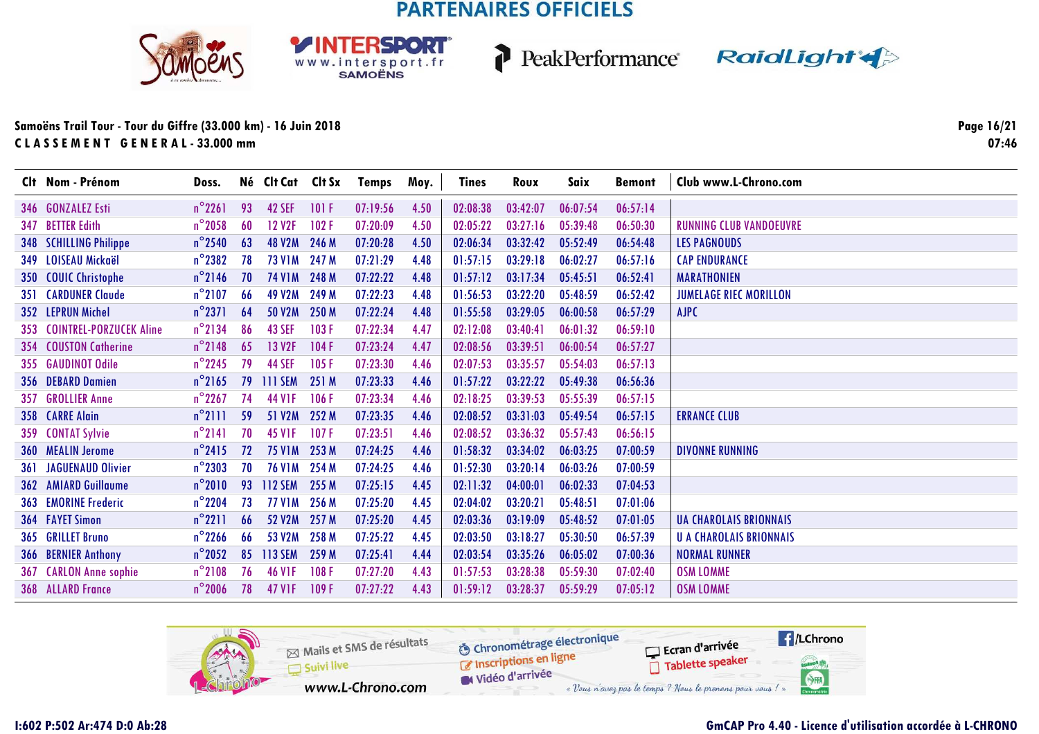





### Samoëns Trail Tour - Tour du Giffre (33.000 km) - 16 Juin 2018 CLASSEMENT GENERAL-33.000 mm

Page 16/21  $07:46$ 

|     | Clt Nom - Prénom             | Doss.            |    | Né Clt Cat Clt Sx   |       | Temps    | Moy. | Tines    | Roux     | Saix     | <b>Bemont</b> | Club www.L-Chrono.com          |
|-----|------------------------------|------------------|----|---------------------|-------|----------|------|----------|----------|----------|---------------|--------------------------------|
|     | 346 GONZALEZ Esti            | $n^{\circ}$ 2261 | 93 | <b>42 SEF</b>       | 101 F | 07:19:56 | 4.50 | 02:08:38 | 03:42:07 | 06:07:54 | 06:57:14      |                                |
|     | 347 BETTER Edith             | $n^{\circ}$ 2058 | 60 | <b>12 V2F</b>       | 102F  | 07:20:09 | 4.50 | 02:05:22 | 03:27:16 | 05:39:48 | 06:50:30      | <b>RUNNING CLUB VANDOEUVRE</b> |
| 348 | <b>SCHILLING Philippe</b>    | $n^{\circ}$ 2540 | 63 | <b>48 V2M</b>       | 246 M | 07:20:28 | 4.50 | 02:06:34 | 03:32:42 | 05:52:49 | 06:54:48      | <b>LES PAGNOUDS</b>            |
|     | 349 LOISEAU Mickaël          | $n^{\circ}$ 2382 | 78 | 73 V1M 247 M        |       | 07:21:29 | 4.48 | 01:57:15 | 03:29:18 | 06:02:27 | 06:57:16      | <b>CAP ENDURANCE</b>           |
|     | 350 COUIC Christophe         | $n^{\circ}$ 2146 | 70 | <b>74 V1M</b>       | 248 M | 07:22:22 | 4.48 | 01:57:12 | 03:17:34 | 05:45:51 | 06:52:41      | <b>MARATHONIEN</b>             |
|     | <b>351 CARDUNER Claude</b>   | $n^{\circ}$ 2107 | 66 | <b>49 V2M</b>       | 249 M | 07:22:23 | 4.48 | 01:56:53 | 03:22:20 | 05:48:59 | 06:52:42      | <b>JUMELAGE RIEC MORILLON</b>  |
|     | 352 LEPRUN Michel            | $n^{\circ}$ 2371 | 64 | <b>50 V2M</b>       | 250 M | 07:22:24 | 4.48 | 01:55:58 | 03:29:05 | 06:00:58 | 06:57:29      | AJPC                           |
|     | 353 COINTREL-PORZUCEK Aline  | $n^{\circ}$ 2134 | 86 | <b>43 SEF</b>       | 103F  | 07:22:34 | 4.47 | 02:12:08 | 03:40:41 | 06:01:32 | 06:59:10      |                                |
|     | 354 COUSTON Catherine        | $n^{\circ}$ 2148 | 65 | 13 V2F              | 104F  | 07:23:24 | 4.47 | 02:08:56 | 03:39:51 | 06:00:54 | 06:57:27      |                                |
|     | 355 GAUDINOT Odile           | $n^{\circ}$ 2245 | 79 | <b>44 SEF</b>       | 105F  | 07:23:30 | 4.46 | 02:07:53 | 03:35:57 | 05:54:03 | 06:57:13      |                                |
|     | 356 DEBARD Damien            | $n^{\circ}$ 2165 | 79 | <b>III SEM</b>      | 251 M | 07:23:33 | 4.46 | 01:57:22 | 03:22:22 | 05:49:38 | 06:56:36      |                                |
|     | 357 GROLLIER Anne            | $n^{\circ}$ 2267 | 74 | 44 V <sub>1</sub> F | 106F  | 07:23:34 | 4.46 | 02:18:25 | 03:39:53 | 05:55:39 | 06:57:15      |                                |
|     | 358 CARRE Alain              | $n^{\circ}$ 2111 | 59 | 51 V2M              | 252 M | 07:23:35 | 4.46 | 02:08:52 | 03:31:03 | 05:49:54 | 06:57:15      | <b>ERRANCE CLUB</b>            |
|     | 359 CONTAT Sylvie            | $n^{\circ}$ 2141 | 70 | 45 V <sub>1</sub> F | 107F  | 07:23:51 | 4.46 | 02:08:52 | 03:36:32 | 05:57:43 | 06:56:15      |                                |
|     | 360 MEALIN Jerome            | $n^{\circ}$ 2415 | 72 | <b>75 V1M</b>       | 253 M | 07:24:25 | 4.46 | 01:58:32 | 03:34:02 | 06:03:25 | 07:00:59      | <b>DIVONNE RUNNING</b>         |
|     | <b>361 JAGUENAUD Olivier</b> | $n^{\circ}$ 2303 | 70 | <b>76 V1M</b>       | 254 M | 07:24:25 | 4.46 | 01:52:30 | 03:20:14 | 06:03:26 | 07:00:59      |                                |
|     | <b>362 AMIARD Guillaume</b>  | $n^{\circ}2010$  | 93 | <b>112 SEM</b>      | 255 M | 07:25:15 | 4.45 | 02:11:32 | 04:00:01 | 06:02:33 | 07:04:53      |                                |
|     | <b>363 EMORINE Frederic</b>  | $n^{\circ}$ 2204 | 73 | <b>77 V1M</b>       | 256 M | 07:25:20 | 4.45 | 02:04:02 | 03:20:21 | 05:48:51 | 07:01:06      |                                |
|     | <b>364 FAYET Simon</b>       | $n^{\circ}2211$  | 66 | 52 V2M              | 257 M | 07:25:20 | 4.45 | 02:03:36 | 03:19:09 | 05:48:52 | 07:01:05      | <b>UA CHAROLAIS BRIONNAIS</b>  |
|     | 365 GRILLET Bruno            | $n^{\circ}$ 2266 | 66 | 53 V2M              | 258 M | 07:25:22 | 4.45 | 02:03:50 | 03:18:27 | 05:30:50 | 06:57:39      | <b>U A CHAROLAIS BRIONNAIS</b> |
|     | 366 BERNIER Anthony          | $n^{\circ}$ 2052 | 85 | <b>113 SEM</b>      | 259 M | 07:25:41 | 4.44 | 02:03:54 | 03:35:26 | 06:05:02 | 07:00:36      | <b>NORMAL RUNNER</b>           |
|     | 367 CARLON Anne sophie       | $n^{\circ}$ 2108 | 76 | <b>46 VIF</b>       | 108F  | 07:27:20 | 4.43 | 01:57:53 | 03:28:38 | 05:59:30 | 07:02:40      | <b>OSM LOMME</b>               |
|     | 368 ALLARD France            | $n^{\circ}$ 2006 | 78 | 47 V1F              | 109F  | 07:27:22 | 4.43 | 01:59:12 | 03:28:37 | 05:59:29 | 07:05:12      | <b>OSM LOMME</b>               |

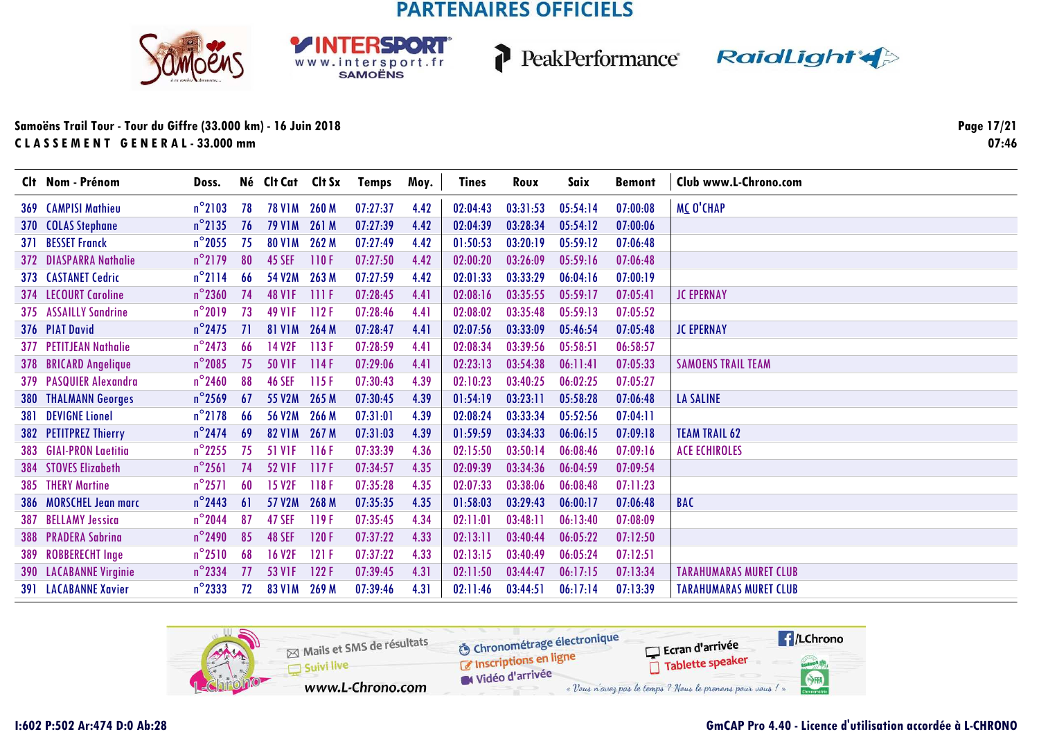



PeakPerformance RaidLight

### **Samoëns Trail Tour - Tour du Giffre (33.000 km) - 16 Juin 2018C L A S S E M E N T G E N E R A L - 33.000 mm**

**Page 17/2107:46**

| Clt Nom - Prénom              | Doss.            |           | Né Clt Cat Clt Sx  |       | Temps    | Moy. | <b>Tines</b> | Roux     | Saix     | <b>Bemont</b> | Club www.L-Chrono.com         |
|-------------------------------|------------------|-----------|--------------------|-------|----------|------|--------------|----------|----------|---------------|-------------------------------|
| <b>369 CAMPISI Mathieu</b>    | $n^{\circ}$ 2103 | 78        | 78 V1M 260 M       |       | 07:27:37 | 4.42 | 02:04:43     | 03:31:53 | 05:54:14 | 07:00:08      | <b>MC O'CHAP</b>              |
| 370 COLAS Stephane            | $n^{\circ}$ 2135 | 76        | <b>79 V1M</b>      | 261 M | 07:27:39 | 4.42 | 02:04:39     | 03:28:34 | 05:54:12 | 07:00:06      |                               |
| 371 BESSET Franck             | $n^{\circ}$ 2055 | 75        | <b>80 V1M</b>      | 262 M | 07:27:49 | 4.42 | 01:50:53     | 03:20:19 | 05:59:12 | 07:06:48      |                               |
| 372 DIASPARRA Nathalie        | $n^{\circ}$ 2179 | 80        | 45 SEF             | 110F  | 07:27:50 | 4.42 | 02:00:20     | 03:26:09 | 05:59:16 | 07:06:48      |                               |
| 373 CASTANET Cedric           | $n^{\circ}$ 2114 | 66        | 54 V2M             | 263 M | 07:27:59 | 4.42 | 02:01:33     | 03:33:29 | 06:04:16 | 07:00:19      |                               |
| 374 LECOURT Caroline          | $n^{\circ}$ 2360 | 74        | <b>48 VIF</b>      | 111F  | 07:28:45 | 4.41 | 02:08:16     | 03:35:55 | 05:59:17 | 07:05:41      | <b>JC EPERNAY</b>             |
| 375 ASSAILLY Sandrine         | $n^{\circ}2019$  | 73        | 49 V <sub>IF</sub> | 112F  | 07:28:46 | 4.41 | 02:08:02     | 03:35:48 | 05:59:13 | 07:05:52      |                               |
| 376 PIAT David                | $n^{\circ}$ 2475 | <b>71</b> | <b>81 V1M</b>      | 264 M | 07:28:47 | 4.41 | 02:07:56     | 03:33:09 | 05:46:54 | 07:05:48      | <b>JC EPERNAY</b>             |
| 377 PETITJEAN Nathalie        | $n^{\circ}$ 2473 | 66        | 14 V <sub>2F</sub> | 113F  | 07:28:59 | 4.41 | 02:08:34     | 03:39:56 | 05:58:51 | 06:58:57      |                               |
| 378 BRICARD Angelique         | $n^{\circ}$ 2085 | 75        | <b>50 VIF</b>      | 114F  | 07:29:06 | 4.41 | 02:23:13     | 03:54:38 | 06:11:41 | 07:05:33      | <b>SAMOENS TRAIL TEAM</b>     |
| 379 PASQUIER Alexandra        | $n^{\circ}$ 2460 | 88        | <b>46 SEF</b>      | 115F  | 07:30:43 | 4.39 | 02:10:23     | 03:40:25 | 06:02:25 | 07:05:27      |                               |
| <b>380 THALMANN Georges</b>   | $n^{\circ}$ 2569 | 67        | 55 V2M             | 265 M | 07:30:45 | 4.39 | 01:54:19     | 03:23:11 | 05:58:28 | 07:06:48      | <b>LA SALINE</b>              |
| 381 DEVIGNE Lionel            | $n^{\circ}$ 2178 | 66        | <b>56 V2M</b>      | 266 M | 07:31:01 | 4.39 | 02:08:24     | 03:33:34 | 05:52:56 | 07:04:11      |                               |
| 382 PETITPREZ Thierry         | $n^{\circ}$ 2474 | 69        | <b>82 V1M</b>      | 267 M | 07:31:03 | 4.39 | 01:59:59     | 03:34:33 | 06:06:15 | 07:09:18      | <b>TEAM TRAIL 62</b>          |
| 383 GIAI-PRON Laetitia        | $n^{\circ}$ 2255 | 75        | <b>51 V1F</b>      | 116F  | 07:33:39 | 4.36 | 02:15:50     | 03:50:14 | 06:08:46 | 07:09:16      | <b>ACE ECHIROLES</b>          |
| 384 STOVES Elizabeth          | $n^{\circ}$ 2561 | 74        | <b>52 VIF</b>      | 117F  | 07:34:57 | 4.35 | 02:09:39     | 03:34:36 | 06:04:59 | 07:09:54      |                               |
| 385 THERY Martine             | $n^{\circ}$ 2571 | 60        | <b>15 V2F</b>      | 118F  | 07:35:28 | 4.35 | 02:07:33     | 03:38:06 | 06:08:48 | 07:11:23      |                               |
| 386 MORSCHEL Jean marc        | $n^{\circ}$ 2443 | 61        | 57 V2M             | 268 M | 07:35:35 | 4.35 | 01:58:03     | 03:29:43 | 06:00:17 | 07:06:48      | <b>BAC</b>                    |
| 387 BELLAMY Jessica           | $n^{\circ}$ 2044 | 87        | 47 SEF             | 119F  | 07:35:45 | 4.34 | 02:11:01     | 03:48:11 | 06:13:40 | 07:08:09      |                               |
| 388 PRADERA Sabrina           | $n^{\circ}$ 2490 | 85        | 48 SEF             | 120 F | 07:37:22 | 4.33 | 02:13:11     | 03:40:44 | 06:05:22 | 07:12:50      |                               |
| 389 ROBBERECHT Inge           | $n^{\circ}2510$  | 68        | <b>16 V2F</b>      | 121F  | 07:37:22 | 4.33 | 02:13:15     | 03:40:49 | 06:05:24 | 07:12:51      |                               |
| <b>390 LACABANNE Virginie</b> | $n^{\circ}$ 2334 | 77        | 53 V <sub>IF</sub> | 122F  | 07:39:45 | 4.31 | 02:11:50     | 03:44:47 | 06:17:15 | 07:13:34      | <b>TARAHUMARAS MURET CLUB</b> |
| <b>391 LACABANNE Xavier</b>   | $n^{\circ}$ 2333 | 72        | <b>83 V1M</b>      | 269 M | 07:39:46 | 4.31 | 02:11:46     | 03:44:51 | 06:17:14 | 07:13:39      | <b>TARAHUMARAS MURET CLUB</b> |

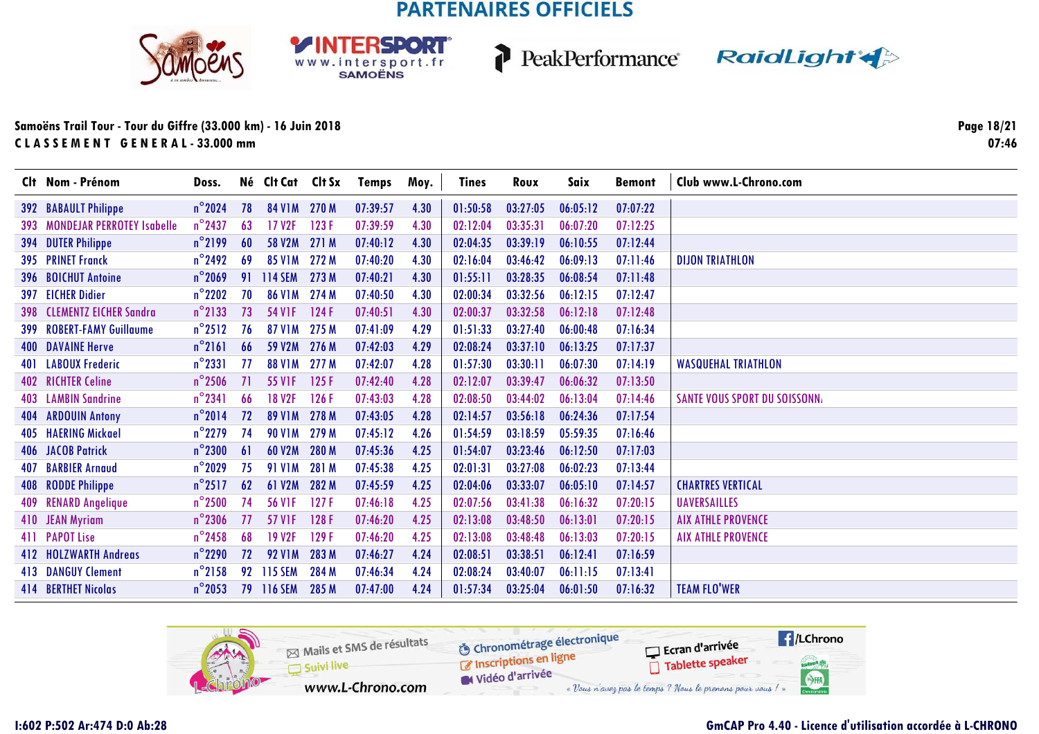



PeakPerformance RaidLight

### **Samoëns Trail Tour - Tour du Giffre (33.000 km) - 16 Juin 2018C L A S S E M E N T G E N E R A L - 33.000 mm**

**Page 18/2107:46**

|            | Clt Nom - Prénom                      | Doss.            |     | Né Clt Cat Clt Sx   |       | Temps    | Moy. | <b>Tines</b> | Roux     | Saix     | <b>Bemont</b> | Club www.L-Chrono.com                |
|------------|---------------------------------------|------------------|-----|---------------------|-------|----------|------|--------------|----------|----------|---------------|--------------------------------------|
|            | <b>392 BABAULT Philippe</b>           | $n^{\circ}$ 2024 | 78  | 84 V1M 270 M        |       | 07:39:57 | 4.30 | 01:50:58     | 03:27:05 | 06:05:12 | 07:07:22      |                                      |
|            | <b>393 MONDEJAR PERROTEY Isabelle</b> | $n^{\circ}$ 2437 | 63  | 17 V2F              | 123F  | 07:39:59 | 4.30 | 02:12:04     | 03:35:31 | 06:07:20 | 07:12:25      |                                      |
| 394        | <b>DUTER Philippe</b>                 | $n^{\circ}$ 2199 | 60  | 58 V2M 271 M        |       | 07:40:12 | 4.30 | 02:04:35     | 03:39:19 | 06:10:55 | 07:12:44      |                                      |
|            | <b>395 PRINET Franck</b>              | $n^{\circ}$ 2492 | -69 | 85 V1M 272 M        |       | 07:40:20 | 4.30 | 02:16:04     | 03:46:42 | 06:09:13 | 07:11:46      | <b>DIJON TRIATHLON</b>               |
|            | 396 BOICHUT Antoine                   | $n^{\circ}$ 2069 | 91  | 114 SEM             | 273 M | 07:40:21 | 4.30 | 01:55:11     | 03:28:35 | 06:08:54 | 07:11:48      |                                      |
| 397        | <b>EICHER Didier</b>                  | $n^{\circ}$ 2202 | 70  | <b>86 V1M</b>       | 274 M | 07:40:50 | 4.30 | 02:00:34     | 03:32:56 | 06:12:15 | 07:12:47      |                                      |
| <b>398</b> | <b>CLEMENTZ EICHER Sandra</b>         | $n^{\circ}$ 2133 | 73  | 54 V <sub>1</sub> F | 124F  | 07:40:51 | 4.30 | 02:00:37     | 03:32:58 | 06:12:18 | 07:12:48      |                                      |
| 399        | <b>ROBERT-FAMY Guillaume</b>          | $n^{\circ}2512$  | 76  | <b>87 V1M</b>       | 275 M | 07:41:09 | 4.29 | 01:51:33     | 03:27:40 | 06:00:48 | 07:16:34      |                                      |
| 400        | <b>DAVAINE Herve</b>                  | $n^{\circ}$ 2161 | 66  | 59 V2M              | 276 M | 07:42:03 | 4.29 | 02:08:24     | 03:37:10 | 06:13:25 | 07:17:37      |                                      |
| 401        | <b>LABOUX Frederic</b>                | $n^{\circ}$ 2331 | 77  | <b>88 V1M</b>       | 277 M | 07:42:07 | 4.28 | 01:57:30     | 03:30:11 | 06:07:30 | 07:14:19      | <b>WASQUEHAL TRIATHLON</b>           |
|            | <b>402 RICHTER Celine</b>             | $n^{\circ}$ 2506 | 71  | <b>55 VIF</b>       | 125F  | 07:42:40 | 4.28 | 02:12:07     | 03:39:47 | 06:06:32 | 07:13:50      |                                      |
|            | 403 LAMBIN Sandrine                   | $n^{\circ}$ 2341 | -66 | <b>18 V2F</b>       | 126 F | 07:43:03 | 4.28 | 02:08:50     | 03:44:02 | 06:13:04 | 07:14:46      | <b>SANTE VOUS SPORT DU SOISSONN.</b> |
| 404        | <b>ARDOUIN Antony</b>                 | $n^{\circ}2014$  | 72  | <b>89 V1M</b>       | 278 M | 07:43:05 | 4.28 | 02:14:57     | 03:56:18 | 06:24:36 | 07:17:54      |                                      |
|            | 405 HAERING Mickael                   | $n^{\circ}$ 2279 | 74  | <b>90 V1M</b>       | 279 M | 07:45:12 | 4.26 | 01:54:59     | 03:18:59 | 05:59:35 | 07:16:46      |                                      |
|            | <b>406 JACOB Patrick</b>              | $n^{\circ}$ 2300 | 61  | 60 V2M              | 280 M | 07:45:36 | 4.25 | 01:54:07     | 03:23:46 | 06:12:50 | 07:17:03      |                                      |
| 407        | <b>BARBIER Arnaud</b>                 | $n^{\circ}$ 2029 | 75  | <b>91 V1M</b>       | 281 M | 07:45:38 | 4.25 | 02:01:31     | 03:27:08 | 06:02:23 | 07:13:44      |                                      |
| 408        | <b>RODDE Philippe</b>                 | $n^{\circ}2517$  | 62  | 61 V2M              | 282 M | 07:45:59 | 4.25 | 02:04:06     | 03:33:07 | 06:05:10 | 07:14:57      | <b>CHARTRES VERTICAL</b>             |
|            | 409 RENARD Angelique                  | $n^{\circ}$ 2500 | 74  | <b>56 VIF</b>       | 127F  | 07:46:18 | 4.25 | 02:07:56     | 03:41:38 | 06:16:32 | 07:20:15      | <b>UAVERSAILLES</b>                  |
|            | 410 JEAN Myriam                       | $n^{\circ}$ 2306 | 77  | 57 V1F              | 128F  | 07:46:20 | 4.25 | 02:13:08     | 03:48:50 | 06:13:01 | 07:20:15      | <b>AIX ATHLE PROVENCE</b>            |
|            | 411 PAPOT Lise                        | $n^{\circ}$ 2458 | 68  | <b>19 V2F</b>       | 129F  | 07:46:20 | 4.25 | 02:13:08     | 03:48:48 | 06:13:03 | 07:20:15      | <b>AIX ATHLE PROVENCE</b>            |
|            | 412 HOLZWARTH Andreas                 | $n^{\circ}$ 2290 | 72  | <b>92 V1M</b>       | 283 M | 07:46:27 | 4.24 | 02:08:51     | 03:38:51 | 06:12:41 | 07:16:59      |                                      |
|            | <b>413 DANGUY Clement</b>             | $n^{\circ}$ 2158 |     | 92 115 SEM          | 284 M | 07:46:34 | 4.24 | 02:08:24     | 03:40:07 | 06:11:15 | 07:13:41      |                                      |
|            | <b>414 BERTHET Nicolas</b>            | $n^{\circ}$ 2053 |     | 79 116 SEM          | 285 M | 07:47:00 | 4.24 | 01:57:34     | 03:25:04 | 06:01:50 | 07:16:32      | <b>TEAM FLO'WER</b>                  |

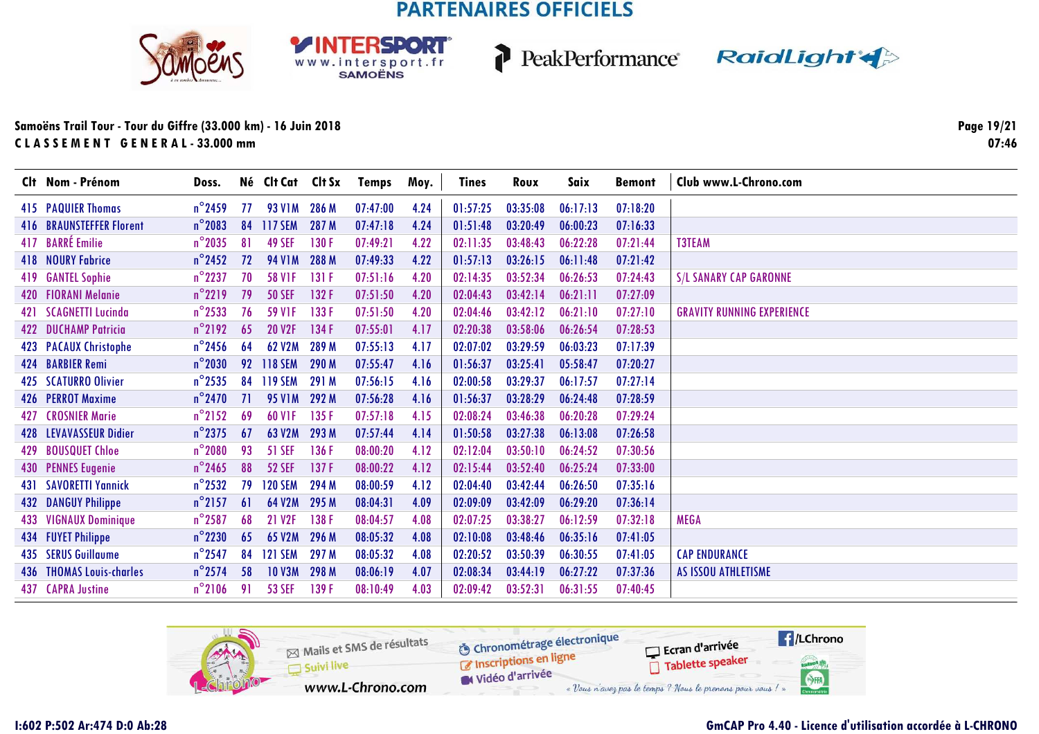



PeakPerformance RaidLight

### Samoëns Trail Tour - Tour du Giffre (33.000 km) - 16 Juin 2018 CLASSEMENT GENERAL-33.000 mm

Page 19/21  $07:46$ 

|     | Clt Nom - Prénom                | Doss.            |           | Né Clt Cat     | Clt Sx | <b>Temps</b> | Moy. | Tines    | Roux     | Saix     | <b>Bemont</b> | Club www.L-Chrono.com             |
|-----|---------------------------------|------------------|-----------|----------------|--------|--------------|------|----------|----------|----------|---------------|-----------------------------------|
|     | <b>415 PAQUIER Thomas</b>       | $n^{\circ}$ 2459 | -77       | 93 V1M 286 M   |        | 07:47:00     | 4.24 | 01:57:25 | 03:35:08 | 06:17:13 | 07:18:20      |                                   |
|     | <b>416 BRAUNSTEFFER Florent</b> | $n^{\circ}$ 2083 | 84        | <b>117 SEM</b> | 287 M  | 07:47:18     | 4.24 | 01:51:48 | 03:20:49 | 06:00:23 | 07:16:33      |                                   |
|     | 417 BARRÉ Emilie                | $n^{\circ}$ 2035 | 81        | <b>49 SEF</b>  | 130F   | 07:49:21     | 4.22 | 02:11:35 | 03:48:43 | 06:22:28 | 07:21:44      | <b>T3TEAM</b>                     |
|     | <b>418 NOURY Fabrice</b>        | $n^{\circ}$ 2452 | 72        | <b>94 V1M</b>  | 288 M  | 07:49:33     | 4.22 | 01:57:13 | 03:26:15 | 06:11:48 | 07:21:42      |                                   |
| 419 | <b>GANTEL Sophie</b>            | $n^{\circ}$ 2237 | 70        | <b>58 VIF</b>  | 131 F  | 07:51:16     | 4.20 | 02:14:35 | 03:52:34 | 06:26:53 | 07:24:43      | <b>S/L SANARY CAP GARONNE</b>     |
|     | 420 FIORANI Melanie             | $n^{\circ}2219$  | 79        | <b>50 SEF</b>  | 132 F  | 07:51:50     | 4.20 | 02:04:43 | 03:42:14 | 06:21:11 | 07:27:09      |                                   |
| 421 | <b>SCAGNETTI Lucinda</b>        | $n^{\circ}$ 2533 | 76        | <b>59 VIF</b>  | 133 F  | 07:51:50     | 4.20 | 02:04:46 | 03:42:12 | 06:21:10 | 07:27:10      | <b>GRAVITY RUNNING EXPERIENCE</b> |
|     | <b>422 DUCHAMP Patricia</b>     | $n^{\circ}2192$  | 65        | <b>20 V2F</b>  | 134 F  | 07:55:01     | 4.17 | 02:20:38 | 03:58:06 | 06:26:54 | 07:28:53      |                                   |
|     | 423 PACAUX Christophe           | $n^{\circ}$ 2456 | 64        | 62 V2M         | 289 M  | 07:55:13     | 4.17 | 02:07:02 | 03:29:59 | 06:03:23 | 07:17:39      |                                   |
|     | 424 BARBIER Remi                | $n^{\circ}$ 2030 |           | 92 118 SEM     | 290 M  | 07:55:47     | 4.16 | 01:56:37 | 03:25:41 | 05:58:47 | 07:20:27      |                                   |
|     | 425 SCATURRO Olivier            | $n^{\circ}$ 2535 | 84        | <b>119 SEM</b> | 291 M  | 07:56:15     | 4.16 | 02:00:58 | 03:29:37 | 06:17:57 | 07:27:14      |                                   |
|     | 426 PERROT Maxime               | $n^{\circ}$ 2470 | <b>71</b> | <b>95 V1M</b>  | 292 M  | 07:56:28     | 4.16 | 01:56:37 | 03:28:29 | 06:24:48 | 07:28:59      |                                   |
| 427 | <b>CROSNIER Marie</b>           | $n^{\circ}$ 2152 | 69        | <b>60 VIF</b>  | 135 F  | 07:57:18     | 4.15 | 02:08:24 | 03:46:38 | 06:20:28 | 07:29:24      |                                   |
|     | 428 LEVAVASSEUR Didier          | $n^{\circ}$ 2375 | 67        | 63 V2M         | 293 M  | 07:57:44     | 4.14 | 01:50:58 | 03:27:38 | 06:13:08 | 07:26:58      |                                   |
| 429 | <b>BOUSQUET Chloe</b>           | $n^{\circ}$ 2080 | 93        | <b>51 SEF</b>  | 136 F  | 08:00:20     | 4.12 | 02:12:04 | 03:50:10 | 06:24:52 | 07:30:56      |                                   |
|     | 430 PENNES Eugenie              | $n^{\circ}$ 2465 | 88        | <b>52 SEF</b>  | 137F   | 08:00:22     | 4.12 | 02:15:44 | 03:52:40 | 06:25:24 | 07:33:00      |                                   |
| 431 | <b>SAVORETTI Yannick</b>        | $n^{\circ}$ 2532 | 79        | <b>120 SEM</b> | 294 M  | 08:00:59     | 4.12 | 02:04:40 | 03:42:44 | 06:26:50 | 07:35:16      |                                   |
| 432 | <b>DANGUY Philippe</b>          | $n^{\circ}$ 2157 | 61        | 64 V2M         | 295 M  | 08:04:31     | 4.09 | 02:09:09 | 03:42:09 | 06:29:20 | 07:36:14      |                                   |
| 433 | <b>VIGNAUX Dominique</b>        | $n^{\circ}$ 2587 | 68        | 21 V2F         | 138 F  | 08:04:57     | 4.08 | 02:07:25 | 03:38:27 | 06:12:59 | 07:32:18      | <b>MEGA</b>                       |
|     | 434 FUYET Philippe              | $n^{\circ}$ 2230 | 65        | 65 V2M         | 296 M  | 08:05:32     | 4.08 | 02:10:08 | 03:48:46 | 06:35:16 | 07:41:05      |                                   |
|     | <b>435 SERUS Guillaume</b>      | $n^{\circ}$ 2547 | 84        | <b>121 SEM</b> | 297 M  | 08:05:32     | 4.08 | 02:20:52 | 03:50:39 | 06:30:55 | 07:41:05      | <b>CAP ENDURANCE</b>              |
|     | <b>436 THOMAS Louis-charles</b> | $n^{\circ}$ 2574 | 58        | <b>10 V3M</b>  | 298 M  | 08:06:19     | 4.07 | 02:08:34 | 03:44:19 | 06:27:22 | 07:37:36      | AS ISSOU ATHLETISME               |
|     | 437 CAPRA Justine               | $n^{\circ}$ 2106 | 91        | <b>53 SEF</b>  | 139F   | 08:10:49     | 4.03 | 02:09:42 | 03:52:31 | 06:31:55 | 07:40:45      |                                   |

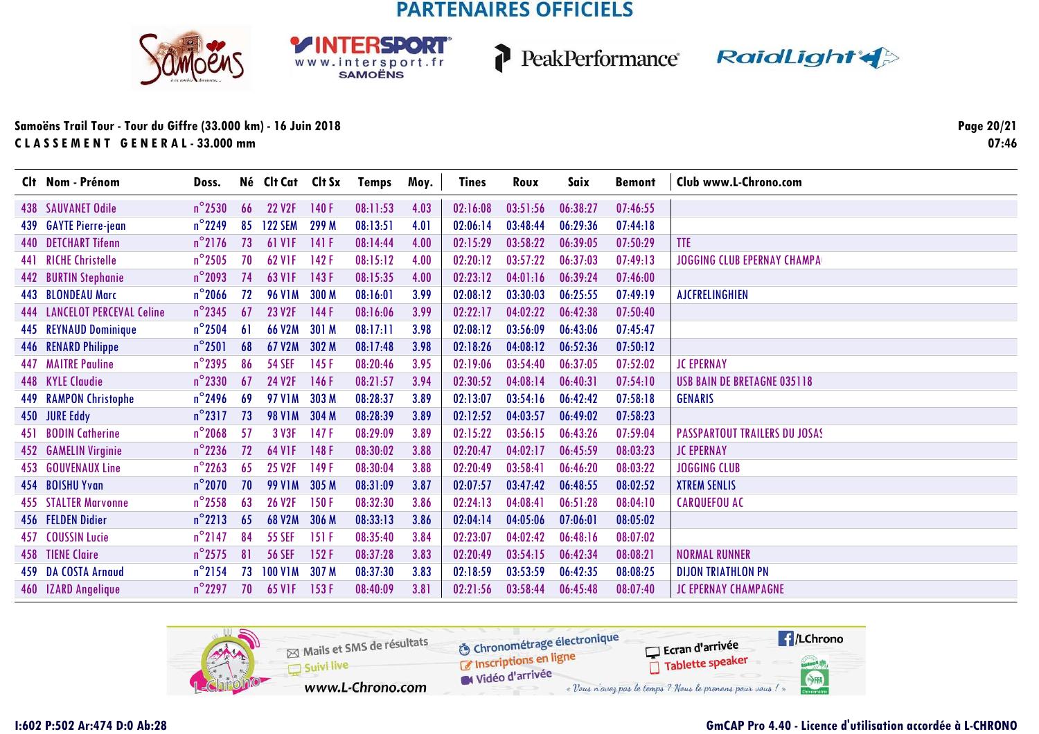





### Samoëns Trail Tour - Tour du Giffre (33.000 km) - 16 Juin 2018 CLASSEMENT GENERAL-33.000 mm

Page 20/21  $07:46$ 

|     | Clt Nom - Prénom             | Doss.            |    | Né Clt Cat Clt Sx   |       | Temps    | Moy. | <b>Tines</b> | Roux     | Saix     | <b>Bemont</b> | Club www.L-Chrono.com                |
|-----|------------------------------|------------------|----|---------------------|-------|----------|------|--------------|----------|----------|---------------|--------------------------------------|
|     | <b>438 SAUVANET Odile</b>    | $n^{\circ}$ 2530 | 66 | <b>22 V2F</b>       | 140F  | 08:11:53 | 4.03 | 02:16:08     | 03:51:56 | 06:38:27 | 07:46:55      |                                      |
|     | 439 GAYTE Pierre-jean        | $n^{\circ}$ 2249 | 85 | <b>122 SEM</b>      | 299 M | 08:13:51 | 4.01 | 02:06:14     | 03:48:44 | 06:29:36 | 07:44:18      |                                      |
|     | <b>440 DETCHART Tifenn</b>   | $n^{\circ}$ 2176 | 73 | <b>61 V1F</b>       | 141 F | 08:14:44 | 4.00 | 02:15:29     | 03:58:22 | 06:39:05 | 07:50:29      | <b>TTE</b>                           |
|     | 441 RICHE Christelle         | $n^{\circ}$ 2505 | 70 | <b>62 VIF</b>       | 142F  | 08:15:12 | 4.00 | 02:20:12     | 03:57:22 | 06:37:03 | 07:49:13      | <b>JOGGING CLUB EPERNAY CHAMPA</b>   |
|     | 442 BURTIN Stephanie         | $n^{\circ}$ 2093 | 74 | 63 V <sub>1F</sub>  | 143F  | 08:15:35 | 4.00 | 02:23:12     | 04:01:16 | 06:39:24 | 07:46:00      |                                      |
|     | 443 BLONDEAU Marc            | $n^{\circ}$ 2066 | 72 | <b>96 V1M</b>       | 300 M | 08:16:01 | 3.99 | 02:08:12     | 03:30:03 | 06:25:55 | 07:49:19      | <b>AJCFRELINGHIEN</b>                |
|     | 444 LANCELOT PERCEVAL Celine | $n^{\circ}$ 2345 | 67 | 23 V2F              | 144F  | 08:16:06 | 3.99 | 02:22:17     | 04:02:22 | 06:42:38 | 07:50:40      |                                      |
|     | 445 REYNAUD Dominique        | $n^{\circ}$ 2504 | 61 | <b>66 V2M</b>       | 301 M | 08:17:11 | 3.98 | 02:08:12     | 03:56:09 | 06:43:06 | 07:45:47      |                                      |
|     | 446 RENARD Philippe          | $n^{\circ}$ 2501 | 68 | 67 V2M              | 302 M | 08:17:48 | 3.98 | 02:18:26     | 04:08:12 | 06:52:36 | 07:50:12      |                                      |
|     | <b>447 MAITRE Pauline</b>    | $n^{\circ}$ 2395 | 86 | <b>54 SEF</b>       | 145 F | 08:20:46 | 3.95 | 02:19:06     | 03:54:40 | 06:37:05 | 07:52:02      | <b>JC EPERNAY</b>                    |
|     | 448 KYLE Claudie             | $n^{\circ}$ 2330 | 67 | 24 V2F              | 146F  | 08:21:57 | 3.94 | 02:30:52     | 04:08:14 | 06:40:31 | 07:54:10      | <b>USB BAIN DE BRETAGNE 035118</b>   |
|     | <b>449 RAMPON Christophe</b> | $n^{\circ}$ 2496 | 69 | <b>97 V1M</b>       | 303 M | 08:28:37 | 3.89 | 02:13:07     | 03:54:16 | 06:42:42 | 07:58:18      | <b>GENARIS</b>                       |
|     | 450 JURE Eddy                | $n^{\circ}2317$  | 73 | <b>98 V1M</b>       | 304 M | 08:28:39 | 3.89 | 02:12:52     | 04:03:57 | 06:49:02 | 07:58:23      |                                      |
| 451 | <b>BODIN Catherine</b>       | $n^{\circ}$ 2068 | 57 | 3 V3F               | 147 F | 08:29:09 | 3.89 | 02:15:22     | 03:56:15 | 06:43:26 | 07:59:04      | <b>PASSPARTOUT TRAILERS DU JOSAS</b> |
|     | 452 GAMELIN Virginie         | $n^{\circ}$ 2236 | 72 | 64 V <sub>1</sub> F | 148F  | 08:30:02 | 3.88 | 02:20:47     | 04:02:17 | 06:45:59 | 08:03:23      | <b>JC EPERNAY</b>                    |
|     | 453 GOUVENAUX Line           | $n^{\circ}$ 2263 | 65 | <b>25 V2F</b>       | 149 F | 08:30:04 | 3.88 | 02:20:49     | 03:58:41 | 06:46:20 | 08:03:22      | <b>JOGGING CLUB</b>                  |
|     | 454 BOISHU Yvan              | $n^{\circ}$ 2070 | 70 | <b>99 V1M</b>       | 305 M | 08:31:09 | 3.87 | 02:07:57     | 03:47:42 | 06:48:55 | 08:02:52      | <b>XTREM SENLIS</b>                  |
|     | <b>455 STALTER Marvonne</b>  | $n^{\circ}$ 2558 | 63 | <b>26 V2F</b>       | 150F  | 08:32:30 | 3.86 | 02:24:13     | 04:08:41 | 06:51:28 | 08:04:10      | <b>CARQUEFOU AC</b>                  |
|     | 456 FELDEN Didier            | $n^{\circ}2213$  | 65 | <b>68 V2M</b>       | 306 M | 08:33:13 | 3.86 | 02:04:14     | 04:05:06 | 07:06:01 | 08:05:02      |                                      |
|     | 457 COUSSIN Lucie            | $n^{\circ}$ 2147 | 84 | <b>55 SEF</b>       | 151F  | 08:35:40 | 3.84 | 02:23:07     | 04:02:42 | 06:48:16 | 08:07:02      |                                      |
|     | <b>458 TIENE Claire</b>      | $n^{\circ}$ 2575 | 81 | <b>56 SEF</b>       | 152F  | 08:37:28 | 3.83 | 02:20:49     | 03:54:15 | 06:42:34 | 08:08:21      | <b>NORMAL RUNNER</b>                 |
|     | 459 DA COSTA Arnaud          | $n^{\circ}$ 2154 | 73 | <b>100 V1M</b>      | 307 M | 08:37:30 | 3.83 | 02:18:59     | 03:53:59 | 06:42:35 | 08:08:25      | <b>DIJON TRIATHLON PN</b>            |
|     | 460 IZARD Angelique          | $n^{\circ}$ 2297 | 70 | 65 V <sub>IF</sub>  | 153F  | 08:40:09 | 3.81 | 02:21:56     | 03:58:44 | 06:45:48 | 08:07:40      | <b>JC EPERNAY CHAMPAGNE</b>          |